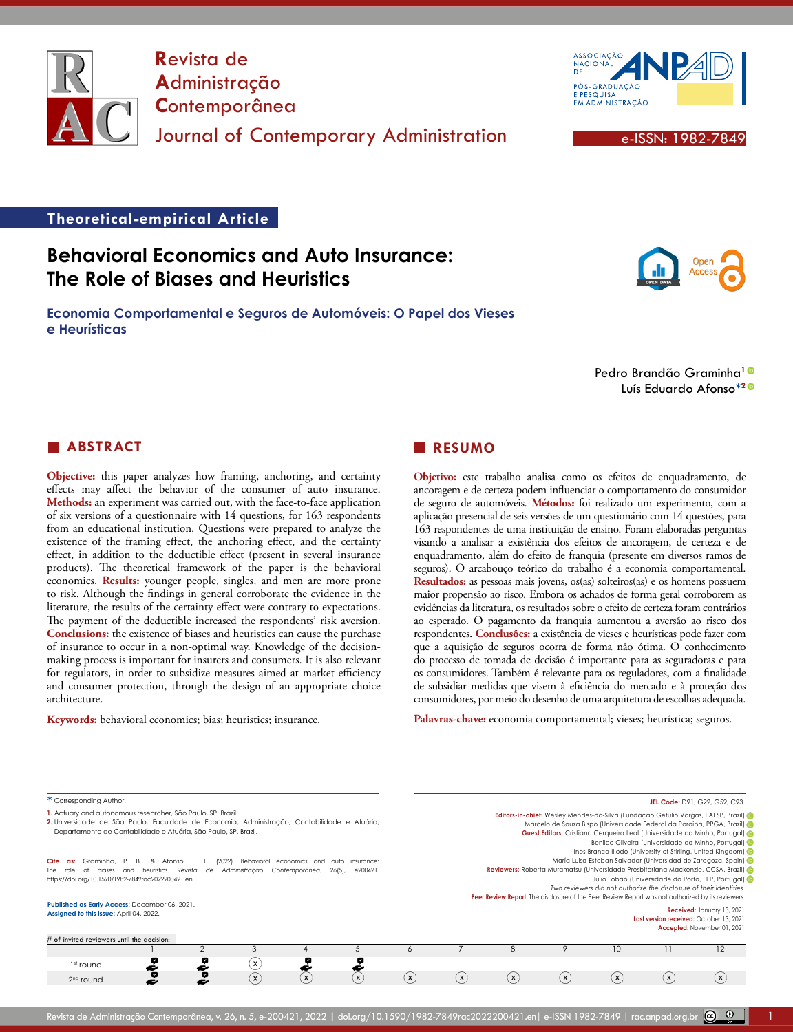

**R**evista de **A**dministração **C**ontemporânea Journal of Contemporary Administration e-ISSN: 1982-7849



# **Theoretical-empirical Article**

# **Behavioral Economics and Auto Insurance: The Role of Biases and Heuristics**

**Economia Comportamental e Seguros de Automóveis: O Papel dos Vieses e Heurísticas**

Pedro Brandão Graminha**[1](https://orcid.org/0000-0003-1143-1917)** Luís Eduardo Afonso**\*[2](https://orcid.org/0000-0003-4639-8299)**

# **ABSTRACT**

**Objective:** this paper analyzes how framing, anchoring, and certainty effects may affect the behavior of the consumer of auto insurance. **Methods:** an experiment was carried out, with the face-to-face application of six versions of a questionnaire with 14 questions, for 163 respondents from an educational institution. Questions were prepared to analyze the existence of the framing effect, the anchoring effect, and the certainty effect, in addition to the deductible effect (present in several insurance products). The theoretical framework of the paper is the behavioral economics. **Results:** younger people, singles, and men are more prone to risk. Although the findings in general corroborate the evidence in the literature, the results of the certainty effect were contrary to expectations. The payment of the deductible increased the respondents' risk aversion. **Conclusions:** the existence of biases and heuristics can cause the purchase of insurance to occur in a non-optimal way. Knowledge of the decisionmaking process is important for insurers and consumers. It is also relevant for regulators, in order to subsidize measures aimed at market efficiency and consumer protection, through the design of an appropriate choice architecture.

**Keywords:** behavioral economics; bias; heuristics; insurance.

### **RESUMO**

**Objetivo:** este trabalho analisa como os efeitos de enquadramento, de ancoragem e de certeza podem influenciar o comportamento do consumidor de seguro de automóveis. **Métodos:** foi realizado um experimento, com a aplicação presencial de seis versões de um questionário com 14 questões, para 163 respondentes de uma instituição de ensino. Foram elaboradas perguntas visando a analisar a existência dos efeitos de ancoragem, de certeza e de enquadramento, além do efeito de franquia (presente em diversos ramos de seguros). O arcabouço teórico do trabalho é a economia comportamental. **Resultados:** as pessoas mais jovens, os(as) solteiros(as) e os homens possuem maior propensão ao risco. Embora os achados de forma geral corroborem as evidências da literatura, os resultados sobre o efeito de certeza foram contrários ao esperado. O pagamento da franquia aumentou a aversão ao risco dos respondentes. **Conclusões:** a existência de vieses e heurísticas pode fazer com que a aquisição de seguros ocorra de forma não ótima. O conhecimento do processo de tomada de decisão é importante para as seguradoras e para os consumidores. Também é relevante para os reguladores, com a finalidade de subsidiar medidas que visem à eficiência do mercado e à proteção dos consumidores, por meio do desenho de uma arquitetura de escolhas adequada.

**Palavras-chave:** economia comportamental; vieses; heurística; seguros.

| * Corresponding Author.                                                                                                                                                                                                                                                                                                                                                                                                                                                                                                 |  |   |              |                           |              |              | JEL Code: D91, G22, G52, C93,                                                                                                                                                                                                                                                                                                                                                                                                                                                                                                                                                                                                                                                                                                                                     |              |              |              |   |          |                                                                                          |
|-------------------------------------------------------------------------------------------------------------------------------------------------------------------------------------------------------------------------------------------------------------------------------------------------------------------------------------------------------------------------------------------------------------------------------------------------------------------------------------------------------------------------|--|---|--------------|---------------------------|--------------|--------------|-------------------------------------------------------------------------------------------------------------------------------------------------------------------------------------------------------------------------------------------------------------------------------------------------------------------------------------------------------------------------------------------------------------------------------------------------------------------------------------------------------------------------------------------------------------------------------------------------------------------------------------------------------------------------------------------------------------------------------------------------------------------|--------------|--------------|--------------|---|----------|------------------------------------------------------------------------------------------|
| 1. Actuary and autonomous researcher, São Paulo, SP, Brazil.<br>2. Universidade de São Paulo, Faculdade de Economia, Administração, Contabilidade e Atuária,<br>Departamento de Contabilidade e Atuária, São Paulo, SP, Brazil.<br>(2022). Behavioral<br>Cite as:<br>Graminha, P. B., & Afonso, L. E.<br>economics and<br>insurance:<br>auto<br>Contemporânea.<br>biases and heuristics. Revista<br>Administracão<br>$26(5)$ ,<br>e200421.<br>de<br>of<br>The role<br>https://doi.org/10.1590/1982-7849rac2022200421.en |  |   |              |                           |              |              | Editors-in-chief: Wesley Mendes-da-Silva (Fundação Getulio Vargas, EAESP, Brazil)<br>Marcelo de Souza Bispo (Universidade Federal da Paraíba, PPGA, Brazil)<br>Guest Editors: Cristiana Cerqueira Leal (Universidade do Minho, Portugal) @<br>Benilde Oliveira (Universidade do Minho, Portugal) D<br>Ines Branco-Illodo (University of Stirling, United Kingdom) (ip<br>María Luisa Esteban Salvador (Universidad de Zaragoza, Spain) D<br>Reviewers: Roberta Muramatsu (Universidade Presbiteriana Mackenzie, CCSA, Brazil)<br>Júlio Lobão (Universidade do Porto, FEP, Portugal) D<br>Two reviewers did not authorize the disclosure of their identities.<br>Peer Review Report: The disclosure of the Peer Review Report was not authorized by its reviewers. |              |              |              |   |          |                                                                                          |
|                                                                                                                                                                                                                                                                                                                                                                                                                                                                                                                         |  |   |              |                           |              |              |                                                                                                                                                                                                                                                                                                                                                                                                                                                                                                                                                                                                                                                                                                                                                                   |              |              |              |   |          | Published as Early Access: December 06, 2021.<br>Assigned to this issue: April 04, 2022. |
| # of invited reviewers until the decision:                                                                                                                                                                                                                                                                                                                                                                                                                                                                              |  |   |              |                           |              | Ô            |                                                                                                                                                                                                                                                                                                                                                                                                                                                                                                                                                                                                                                                                                                                                                                   |              |              | 10           |   | $12 \,$  |                                                                                          |
| $1st$ round                                                                                                                                                                                                                                                                                                                                                                                                                                                                                                             |  |   | $\mathsf{x}$ |                           |              |              |                                                                                                                                                                                                                                                                                                                                                                                                                                                                                                                                                                                                                                                                                                                                                                   |              |              |              |   |          |                                                                                          |
| $2nd$ round                                                                                                                                                                                                                                                                                                                                                                                                                                                                                                             |  | 9 | $\mathsf{x}$ | $\boldsymbol{\mathsf{x}}$ | $\mathsf{x}$ | $\mathbf{x}$ | $\mathsf{x}$                                                                                                                                                                                                                                                                                                                                                                                                                                                                                                                                                                                                                                                                                                                                                      | $\mathbf{x}$ | $\mathsf{x}$ | $\mathsf{x}$ | X | $\times$ |                                                                                          |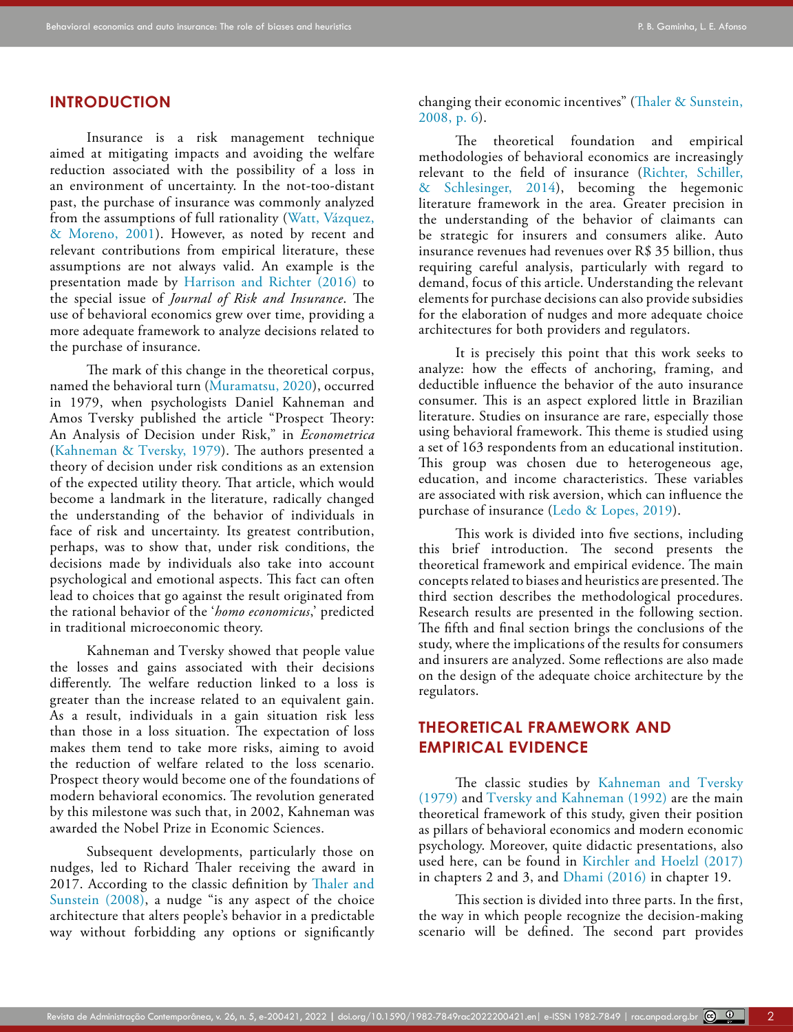### **INTRODUCTION**

Insurance is a risk management technique aimed at mitigating impacts and avoiding the welfare reduction associated with the possibility of a loss in an environment of uncertainty. In the not-too-distant past, the purchase of insurance was commonly analyzed from the assumptions of full rationality (Watt, Vázquez, & Moreno, 2001). However, as noted by recent and relevant contributions from empirical literature, these assumptions are not always valid. An example is the presentation made by [Harrison and Richter \(2016\)](#page-16-0) to the special issue of *Journal of Risk and Insurance*. The use of behavioral economics grew over time, providing a more adequate framework to analyze decisions related to the purchase of insurance.

The mark of this change in the theoretical corpus, named the behavioral turn ([Muramatsu, 2020](#page-17-0)), occurred in 1979, when psychologists Daniel Kahneman and Amos Tversky published the article "Prospect Theory: An Analysis of Decision under Risk," in *Econometrica* ([Kahneman & Tversky, 1979\)](#page-17-1). The authors presented a theory of decision under risk conditions as an extension of the expected utility theory. That article, which would become a landmark in the literature, radically changed the understanding of the behavior of individuals in face of risk and uncertainty. Its greatest contribution, perhaps, was to show that, under risk conditions, the decisions made by individuals also take into account psychological and emotional aspects. This fact can often lead to choices that go against the result originated from the rational behavior of the '*homo economicus*,' predicted in traditional microeconomic theory.

Kahneman and Tversky showed that people value the losses and gains associated with their decisions differently. The welfare reduction linked to a loss is greater than the increase related to an equivalent gain. As a result, individuals in a gain situation risk less than those in a loss situation. The expectation of loss makes them tend to take more risks, aiming to avoid the reduction of welfare related to the loss scenario. Prospect theory would become one of the foundations of modern behavioral economics. The revolution generated by this milestone was such that, in 2002, Kahneman was awarded the Nobel Prize in Economic Sciences.

Subsequent developments, particularly those on nudges, led to Richard Thaler receiving the award in 2017. According to the classic definition by [Thaler and](#page-18-0)  [Sunstein \(2008\)](#page-18-0), a nudge "is any aspect of the choice architecture that alters people's behavior in a predictable way without forbidding any options or significantly changing their economic incentives" (Thaler & Sunstein, 2008, p. 6).

The theoretical foundation and empirical methodologies of behavioral economics are increasingly relevant to the field of insurance ([Richter, Schiller,](#page-17-2) [& Schlesinger, 2014](#page-17-2)), becoming the hegemonic literature framework in the area. Greater precision in the understanding of the behavior of claimants can be strategic for insurers and consumers alike. Auto insurance revenues had revenues over R\$ 35 billion, thus requiring careful analysis, particularly with regard to demand, focus of this article. Understanding the relevant elements for purchase decisions can also provide subsidies for the elaboration of nudges and more adequate choice architectures for both providers and regulators.

It is precisely this point that this work seeks to analyze: how the effects of anchoring, framing, and deductible influence the behavior of the auto insurance consumer. This is an aspect explored little in Brazilian literature. Studies on insurance are rare, especially those using behavioral framework. This theme is studied using a set of 163 respondents from an educational institution. This group was chosen due to heterogeneous age, education, and income characteristics. These variables are associated with risk aversion, which can influence the purchase of insurance ([Ledo & Lopes, 2019\)](#page-17-3).

This work is divided into five sections, including this brief introduction. The second presents the theoretical framework and empirical evidence. The main concepts related to biases and heuristics are presented. The third section describes the methodological procedures. Research results are presented in the following section. The fifth and final section brings the conclusions of the study, where the implications of the results for consumers and insurers are analyzed. Some reflections are also made on the design of the adequate choice architecture by the regulators.

# **THEORETICAL FRAMEWORK AND EMPIRICAL EVIDENCE**

The classic studies by [Kahneman and Tversky](#page-17-1) [\(1979\)](#page-17-1) and [Tversky and Kahneman \(1992\)](#page-18-1) are the main theoretical framework of this study, given their position as pillars of behavioral economics and modern economic psychology. Moreover, quite didactic presentations, also used here, can be found in [Kirchler and Hoelzl \(2017\)](#page-17-4) in chapters 2 and 3, and [Dhami \(2016\)](#page-16-1) in chapter 19.

This section is divided into three parts. In the first, the way in which people recognize the decision-making scenario will be defined. The second part provides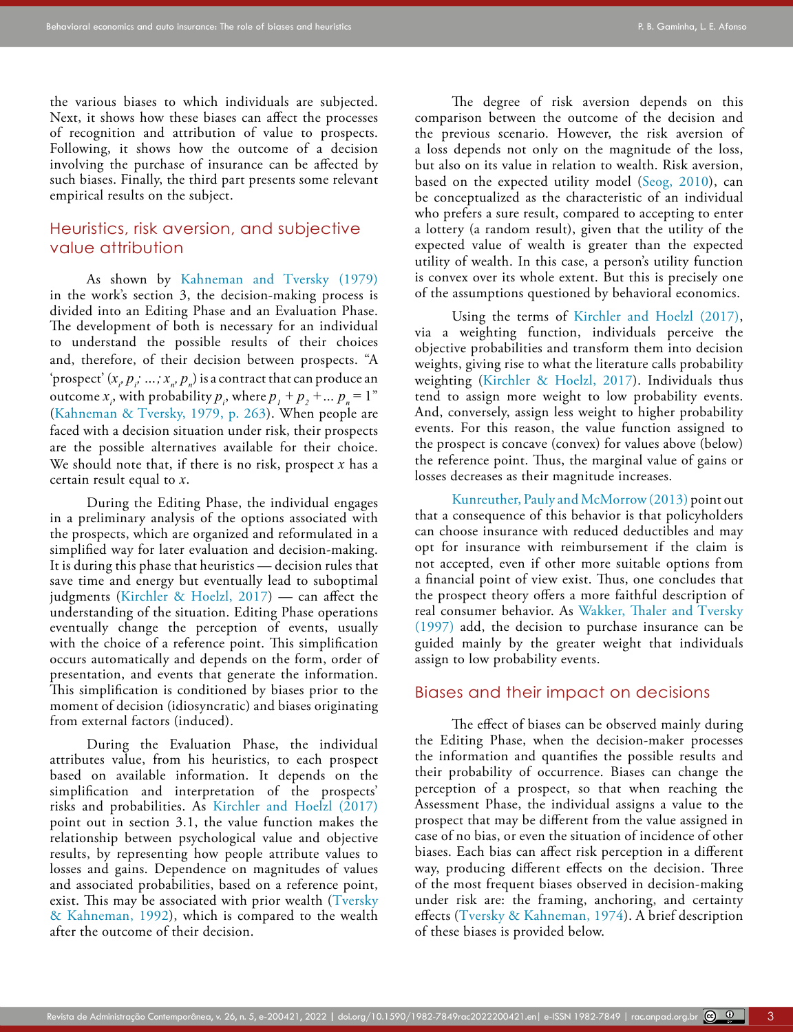the various biases to which individuals are subjected. Next, it shows how these biases can affect the processes of recognition and attribution of value to prospects. Following, it shows how the outcome of a decision involving the purchase of insurance can be affected by such biases. Finally, the third part presents some relevant empirical results on the subject.

# Heuristics, risk aversion, and subjective value attribution

As shown by [Kahneman and Tversky \(1979\)](#page-17-1) in the work's section 3, the decision-making process is divided into an Editing Phase and an Evaluation Phase. The development of both is necessary for an individual to understand the possible results of their choices and, therefore, of their decision between prospects. "A 'prospect' ( $x$ <sub>*i*</sub>,  $p$ <sub>*i*</sub>; …;  $x$ <sub>*i*</sub>,  $p$ <sub>*n*</sub>) is a contract that can produce an outcome  $x_i$ , with probability  $p_i$ , where  $p_1 + p_2 + ... p_n = 1$ " (Kahneman & Tversky, 1979, p. 263). When people are faced with a decision situation under risk, their prospects are the possible alternatives available for their choice. We should note that, if there is no risk, prospect *x* has a certain result equal to *x*.

During the Editing Phase, the individual engages in a preliminary analysis of the options associated with the prospects, which are organized and reformulated in a simplified way for later evaluation and decision-making. It is during this phase that heuristics — decision rules that save time and energy but eventually lead to suboptimal judgments ([Kirchler & Hoelzl, 2017](#page-17-4)) — can affect the understanding of the situation. Editing Phase operations eventually change the perception of events, usually with the choice of a reference point. This simplification occurs automatically and depends on the form, order of presentation, and events that generate the information. This simplification is conditioned by biases prior to the moment of decision (idiosyncratic) and biases originating from external factors (induced).

During the Evaluation Phase, the individual attributes value, from his heuristics, to each prospect based on available information. It depends on the simplification and interpretation of the prospects' risks and probabilities. As [Kirchler and Hoelzl \(2017\)](#page-17-4) point out in section 3.1, the value function makes the relationship between psychological value and objective results, by representing how people attribute values to losses and gains. Dependence on magnitudes of values and associated probabilities, based on a reference point, exist. This may be associated with prior wealth (Tversky [& Kahneman, 1992\)](#page-18-1), which is compared to the wealth after the outcome of their decision.

The degree of risk aversion depends on this comparison between the outcome of the decision and the previous scenario. However, the risk aversion of a loss depends not only on the magnitude of the loss, but also on its value in relation to wealth. Risk aversion, based on the expected utility model ([Seog, 2010\)](#page-18-2), can be conceptualized as the characteristic of an individual who prefers a sure result, compared to accepting to enter a lottery (a random result), given that the utility of the expected value of wealth is greater than the expected utility of wealth. In this case, a person's utility function is convex over its whole extent. But this is precisely one of the assumptions questioned by behavioral economics.

Using the terms of [Kirchler and Hoelzl \(2017\)](#page-17-4), via a weighting function, individuals perceive the objective probabilities and transform them into decision weights, giving rise to what the literature calls probability weighting [\(Kirchler & Hoelzl, 2017](#page-17-4)). Individuals thus tend to assign more weight to low probability events. And, conversely, assign less weight to higher probability events. For this reason, the value function assigned to the prospect is concave (convex) for values above (below) the reference point. Thus, the marginal value of gains or losses decreases as their magnitude increases.

[Kunreuther, Pauly and McMorrow \(2013\)](#page-17-5) point out that a consequence of this behavior is that policyholders can choose insurance with reduced deductibles and may opt for insurance with reimbursement if the claim is not accepted, even if other more suitable options from a financial point of view exist. Thus, one concludes that the prospect theory offers a more faithful description of real consumer behavior. As [Wakker, Thaler and Tversky](#page-18-3) [\(1997\)](#page-18-3) add, the decision to purchase insurance can be guided mainly by the greater weight that individuals assign to low probability events.

### Biases and their impact on decisions

The effect of biases can be observed mainly during the Editing Phase, when the decision-maker processes the information and quantifies the possible results and their probability of occurrence. Biases can change the perception of a prospect, so that when reaching the Assessment Phase, the individual assigns a value to the prospect that may be different from the value assigned in case of no bias, or even the situation of incidence of other biases. Each bias can affect risk perception in a different way, producing different effects on the decision. Three of the most frequent biases observed in decision-making under risk are: the framing, anchoring, and certainty effects ([Tversky & Kahneman, 1974](#page-18-4)). A brief description of these biases is provided below.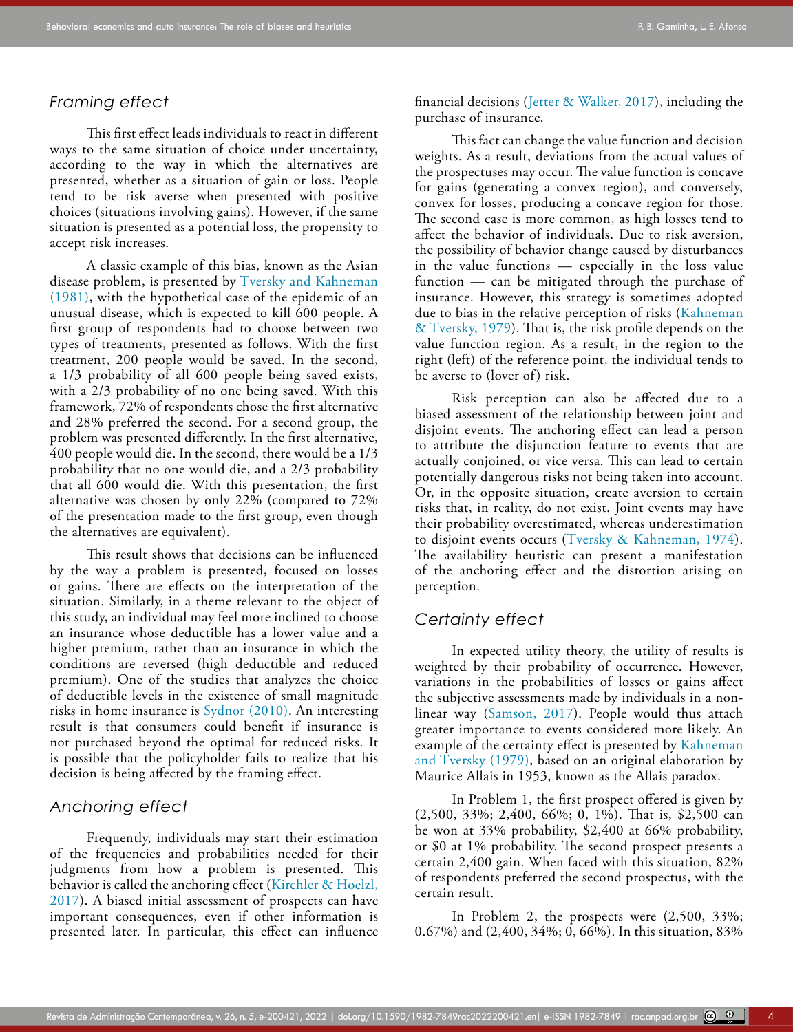### *Framing effect*

This first effect leads individuals to react in different ways to the same situation of choice under uncertainty, according to the way in which the alternatives are presented, whether as a situation of gain or loss. People tend to be risk averse when presented with positive choices (situations involving gains). However, if the same situation is presented as a potential loss, the propensity to accept risk increases.

A classic example of this bias, known as the Asian disease problem, is presented by [Tversky and Kahneman](#page-18-5)  [\(1981\),](#page-18-5) with the hypothetical case of the epidemic of an unusual disease, which is expected to kill 600 people. A first group of respondents had to choose between two types of treatments, presented as follows. With the first treatment, 200 people would be saved. In the second, a 1/3 probability of all 600 people being saved exists, with a 2/3 probability of no one being saved. With this framework, 72% of respondents chose the first alternative and 28% preferred the second. For a second group, the problem was presented differently. In the first alternative, 400 people would die. In the second, there would be a 1/3 probability that no one would die, and a 2/3 probability that all 600 would die. With this presentation, the first alternative was chosen by only 22% (compared to 72% of the presentation made to the first group, even though the alternatives are equivalent).

This result shows that decisions can be influenced by the way a problem is presented, focused on losses or gains. There are effects on the interpretation of the situation. Similarly, in a theme relevant to the object of this study, an individual may feel more inclined to choose an insurance whose deductible has a lower value and a higher premium, rather than an insurance in which the conditions are reversed (high deductible and reduced premium). One of the studies that analyzes the choice of deductible levels in the existence of small magnitude risks in home insurance is [Sydnor \(2010\).](#page-18-6) An interesting result is that consumers could benefit if insurance is not purchased beyond the optimal for reduced risks. It is possible that the policyholder fails to realize that his decision is being affected by the framing effect.

### *Anchoring effect*

Frequently, individuals may start their estimation of the frequencies and probabilities needed for their judgments from how a problem is presented. This behavior is called the anchoring effect (Kirchler & Hoelzl, [2017](#page-17-4)). A biased initial assessment of prospects can have important consequences, even if other information is presented later. In particular, this effect can influence financial decisions ([Jetter & Walker, 2017](#page-17-6)), including the purchase of insurance.

This fact can change the value function and decision weights. As a result, deviations from the actual values of the prospectuses may occur. The value function is concave for gains (generating a convex region), and conversely, convex for losses, producing a concave region for those. The second case is more common, as high losses tend to affect the behavior of individuals. Due to risk aversion, the possibility of behavior change caused by disturbances in the value functions — especially in the loss value function — can be mitigated through the purchase of insurance. However, this strategy is sometimes adopted due to bias in the relative perception of risks ([Kahneman](#page-17-1) [& Tversky, 1979\)](#page-17-1). That is, the risk profile depends on the value function region. As a result, in the region to the right (left) of the reference point, the individual tends to be averse to (lover of) risk.

Risk perception can also be affected due to a biased assessment of the relationship between joint and disjoint events. The anchoring effect can lead a person to attribute the disjunction feature to events that are actually conjoined, or vice versa. This can lead to certain potentially dangerous risks not being taken into account. Or, in the opposite situation, create aversion to certain risks that, in reality, do not exist. Joint events may have their probability overestimated, whereas underestimation to disjoint events occurs ([Tversky & Kahneman, 1974\)](#page-18-4). The availability heuristic can present a manifestation of the anchoring effect and the distortion arising on perception.

# *Certainty effect*

In expected utility theory, the utility of results is weighted by their probability of occurrence. However, variations in the probabilities of losses or gains affect the subjective assessments made by individuals in a nonlinear way [\(Samson, 2017\)](#page-18-7). People would thus attach greater importance to events considered more likely. An example of the certainty effect is presented by [Kahneman](#page-17-1) [and Tversky \(1979\),](#page-17-1) based on an original elaboration by Maurice Allais in 1953, known as the Allais paradox.

In Problem 1, the first prospect offered is given by (2,500, 33%; 2,400, 66%; 0, 1%). That is, \$2,500 can be won at 33% probability, \$2,400 at 66% probability, or \$0 at 1% probability. The second prospect presents a certain 2,400 gain. When faced with this situation, 82% of respondents preferred the second prospectus, with the certain result.

In Problem 2, the prospects were (2,500, 33%; 0.67%) and (2,400, 34%; 0, 66%). In this situation, 83%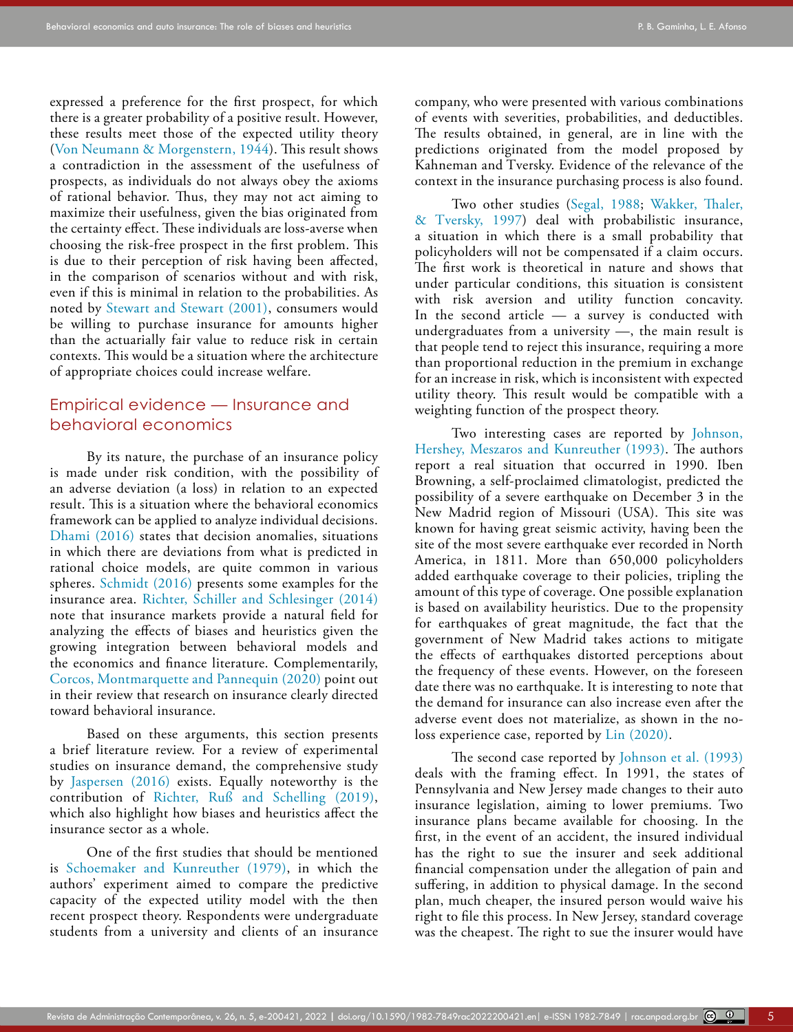expressed a preference for the first prospect, for which there is a greater probability of a positive result. However, these results meet those of the expected utility theory ([Von Neumann & Morgenstern, 1944\)](#page-18-8). This result shows a contradiction in the assessment of the usefulness of prospects, as individuals do not always obey the axioms of rational behavior. Thus, they may not act aiming to maximize their usefulness, given the bias originated from the certainty effect. These individuals are loss-averse when choosing the risk-free prospect in the first problem. This is due to their perception of risk having been affected, in the comparison of scenarios without and with risk, even if this is minimal in relation to the probabilities. As noted by [Stewart and Stewart \(2001\),](#page-18-9) consumers would be willing to purchase insurance for amounts higher than the actuarially fair value to reduce risk in certain contexts. This would be a situation where the architecture of appropriate choices could increase welfare.

# Empirical evidence — Insurance and behavioral economics

By its nature, the purchase of an insurance policy is made under risk condition, with the possibility of an adverse deviation (a loss) in relation to an expected result. This is a situation where the behavioral economics framework can be applied to analyze individual decisions. [Dhami \(2016\)](#page-16-1) states that decision anomalies, situations in which there are deviations from what is predicted in rational choice models, are quite common in various spheres. [Schmidt \(2016\)](#page-18-10) presents some examples for the insurance area. [Richter, Schiller and Schlesinger \(2014\)](#page-17-2)  note that insurance markets provide a natural field for analyzing the effects of biases and heuristics given the growing integration between behavioral models and the economics and finance literature. Complementarily, [Corcos, Montmarquette and Pannequin \(2020\)](#page-16-2) point out in their review that research on insurance clearly directed toward behavioral insurance.

Based on these arguments, this section presents a brief literature review. For a review of experimental studies on insurance demand, the comprehensive study by [Jaspersen \(2016\)](#page-17-7) exists. Equally noteworthy is the contribution of Richter, Ruß and Schelling (2019), which also highlight how biases and heuristics affect the insurance sector as a whole.

One of the first studies that should be mentioned is [Schoemaker and Kunreuther \(1979\)](#page-18-11), in which the authors' experiment aimed to compare the predictive capacity of the expected utility model with the then recent prospect theory. Respondents were undergraduate students from a university and clients of an insurance company, who were presented with various combinations of events with severities, probabilities, and deductibles. The results obtained, in general, are in line with the predictions originated from the model proposed by Kahneman and Tversky. Evidence of the relevance of the context in the insurance purchasing process is also found.

Two other studies ([Segal, 1988](#page-18-12); [Wakker, Thaler,](#page-18-3) [& Tversky, 1997](#page-18-3)) deal with probabilistic insurance, a situation in which there is a small probability that policyholders will not be compensated if a claim occurs. The first work is theoretical in nature and shows that under particular conditions, this situation is consistent with risk aversion and utility function concavity. In the second article — a survey is conducted with undergraduates from a university —, the main result is that people tend to reject this insurance, requiring a more than proportional reduction in the premium in exchange for an increase in risk, which is inconsistent with expected utility theory. This result would be compatible with a weighting function of the prospect theory.

Two interesting cases are reported by [Johnson,](#page-17-8) [Hershey, Meszaros and Kunreuther \(1993\)](#page-17-8). The authors report a real situation that occurred in 1990. Iben Browning, a self-proclaimed climatologist, predicted the possibility of a severe earthquake on December 3 in the New Madrid region of Missouri (USA). This site was known for having great seismic activity, having been the site of the most severe earthquake ever recorded in North America, in 1811. More than 650,000 policyholders added earthquake coverage to their policies, tripling the amount of this type of coverage. One possible explanation is based on availability heuristics. Due to the propensity for earthquakes of great magnitude, the fact that the government of New Madrid takes actions to mitigate the effects of earthquakes distorted perceptions about the frequency of these events. However, on the foreseen date there was no earthquake. It is interesting to note that the demand for insurance can also increase even after the adverse event does not materialize, as shown in the noloss experience case, reported by [Lin \(2020\)](#page-17-9).

The second case reported by [Johnson et al. \(1993\)](#page-17-8) deals with the framing effect. In 1991, the states of Pennsylvania and New Jersey made changes to their auto insurance legislation, aiming to lower premiums. Two insurance plans became available for choosing. In the first, in the event of an accident, the insured individual has the right to sue the insurer and seek additional financial compensation under the allegation of pain and suffering, in addition to physical damage. In the second plan, much cheaper, the insured person would waive his right to file this process. In New Jersey, standard coverage was the cheapest. The right to sue the insurer would have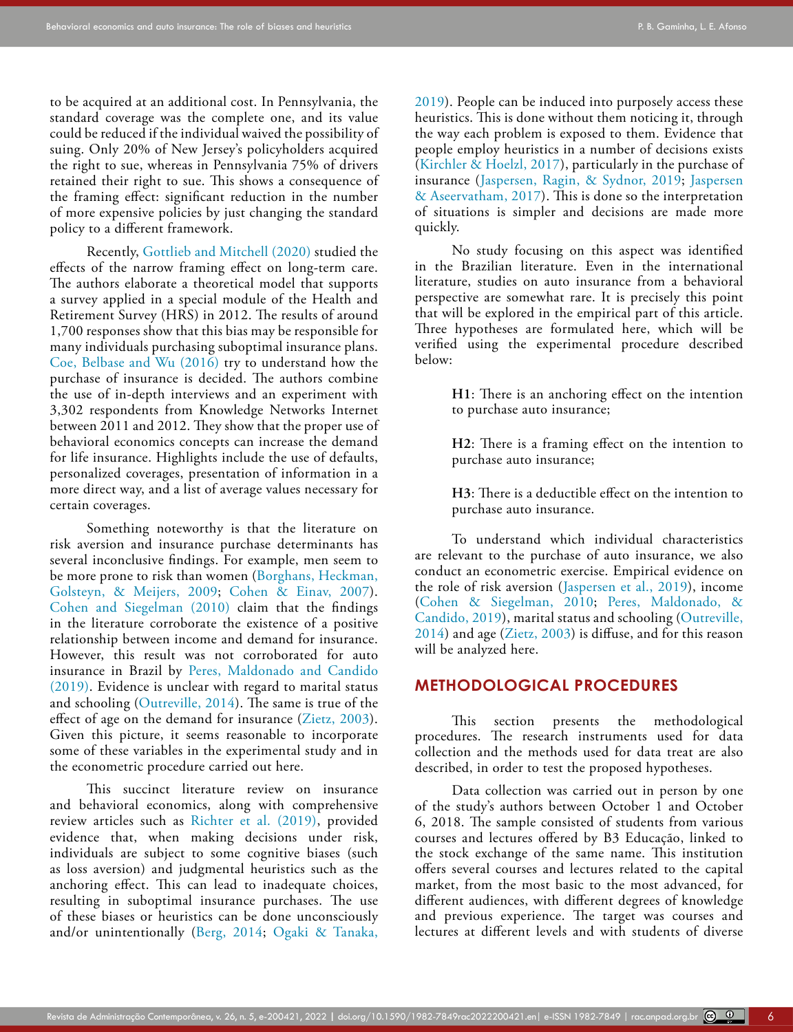to be acquired at an additional cost. In Pennsylvania, the standard coverage was the complete one, and its value could be reduced if the individual waived the possibility of suing. Only 20% of New Jersey's policyholders acquired the right to sue, whereas in Pennsylvania 75% of drivers retained their right to sue. This shows a consequence of the framing effect: significant reduction in the number of more expensive policies by just changing the standard policy to a different framework.

Recently, [Gottlieb and Mitchell \(2020\)](#page-16-3) studied the effects of the narrow framing effect on long-term care. The authors elaborate a theoretical model that supports a survey applied in a special module of the Health and Retirement Survey (HRS) in 2012. The results of around 1,700 responses show that this bias may be responsible for many individuals purchasing suboptimal insurance plans. [Coe, Belbase and Wu \(2016\)](#page-16-4) try to understand how the purchase of insurance is decided. The authors combine the use of in-depth interviews and an experiment with 3,302 respondents from Knowledge Networks Internet between 2011 and 2012. They show that the proper use of behavioral economics concepts can increase the demand for life insurance. Highlights include the use of defaults, personalized coverages, presentation of information in a more direct way, and a list of average values necessary for certain coverages.

Something noteworthy is that the literature on risk aversion and insurance purchase determinants has several inconclusive findings. For example, men seem to be more prone to risk than women [\(Borghans, Heckman,](#page-16-5)  [Golsteyn, & Meijers, 2009](#page-16-5); [Cohen & Einav, 2007](#page-16-6)). [Cohen and Siegelman \(2010\)](#page-16-7) claim that the findings in the literature corroborate the existence of a positive relationship between income and demand for insurance. However, this result was not corroborated for auto insurance in Brazil by [Peres, Maldonado and Candido](#page-17-10)  [\(2019\).](#page-17-10) Evidence is unclear with regard to marital status and schooling ([Outreville, 2014\)](#page-17-11). The same is true of the effect of age on the demand for insurance (Zietz, 2003). Given this picture, it seems reasonable to incorporate some of these variables in the experimental study and in the econometric procedure carried out here.

This succinct literature review on insurance and behavioral economics, along with comprehensive review articles such as [Richter et al. \(2019\),](#page-17-12) provided evidence that, when making decisions under risk, individuals are subject to some cognitive biases (such as loss aversion) and judgmental heuristics such as the anchoring effect. This can lead to inadequate choices, resulting in suboptimal insurance purchases. The use of these biases or heuristics can be done unconsciously and/or unintentionally ([Berg, 2014;](#page-16-8) [Ogaki & Tanaka,](#page-17-13)  [2019\)](#page-17-13). People can be induced into purposely access these heuristics. This is done without them noticing it, through the way each problem is exposed to them. Evidence that people employ heuristics in a number of decisions exists ([Kirchler & Hoelzl, 2017\)](#page-17-4), particularly in the purchase of insurance ([Jaspersen, Ragin, & Sydnor, 2019;](#page-17-14) [Jaspersen](#page-17-15) [& Aseervatham, 2017\)](#page-17-15). This is done so the interpretation of situations is simpler and decisions are made more quickly.

No study focusing on this aspect was identified in the Brazilian literature. Even in the international literature, studies on auto insurance from a behavioral perspective are somewhat rare. It is precisely this point that will be explored in the empirical part of this article. Three hypotheses are formulated here, which will be verified using the experimental procedure described below:

> **H1**: There is an anchoring effect on the intention to purchase auto insurance;

> **H2**: There is a framing effect on the intention to purchase auto insurance;

> **H3**: There is a deductible effect on the intention to purchase auto insurance.

To understand which individual characteristics are relevant to the purchase of auto insurance, we also conduct an econometric exercise. Empirical evidence on the role of risk aversion ([Jaspersen et al., 2019\)](#page-17-14), income ([Cohen & Siegelman, 2010](#page-16-7); [Peres, Maldonado, &](#page-17-10) [Candido, 2019\)](#page-17-10), marital status and schooling [\(Outreville,](#page-17-11) [2014\)](#page-17-11) and age (Zietz, 2003) is diffuse, and for this reason will be analyzed here.

# **METHODOLOGICAL PROCEDURES**

This section presents the methodological procedures. The research instruments used for data collection and the methods used for data treat are also described, in order to test the proposed hypotheses.

Data collection was carried out in person by one of the study's authors between October 1 and October 6, 2018. The sample consisted of students from various courses and lectures offered by B3 Educação, linked to the stock exchange of the same name. This institution offers several courses and lectures related to the capital market, from the most basic to the most advanced, for different audiences, with different degrees of knowledge and previous experience. The target was courses and lectures at different levels and with students of diverse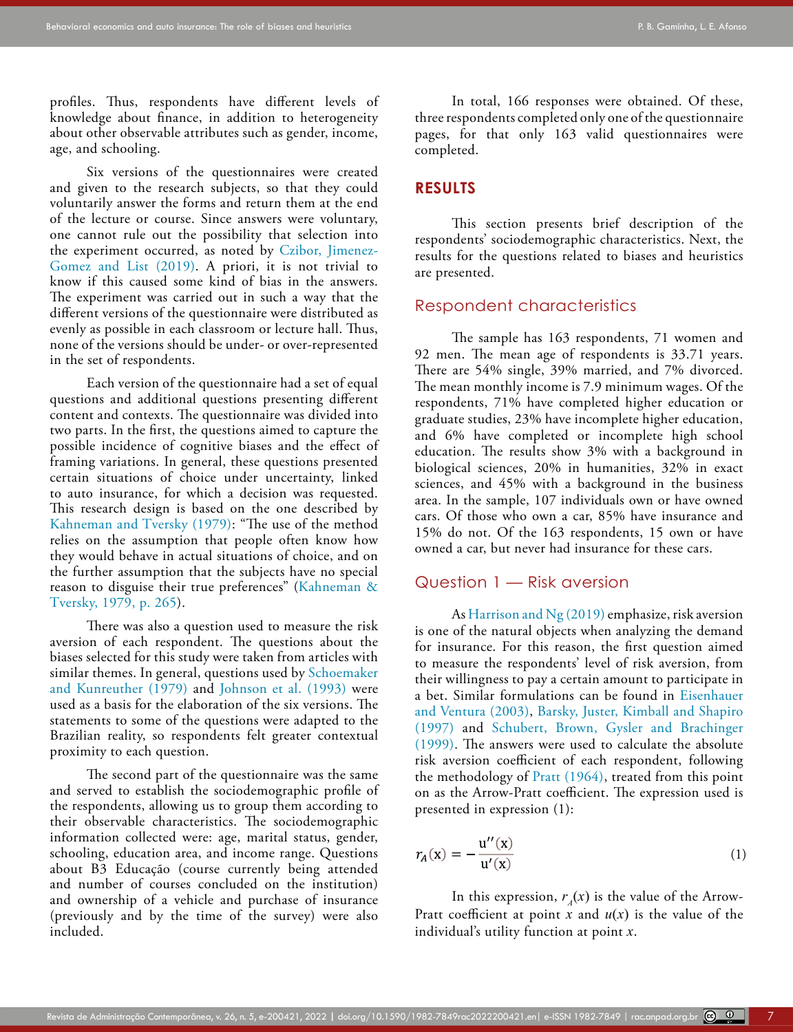profiles. Thus, respondents have different levels of knowledge about finance, in addition to heterogeneity about other observable attributes such as gender, income, age, and schooling.

Six versions of the questionnaires were created and given to the research subjects, so that they could voluntarily answer the forms and return them at the end of the lecture or course. Since answers were voluntary, one cannot rule out the possibility that selection into the experiment occurred, as noted by [Czibor, Jimenez-](#page-16-9)[Gomez and List \(2019\)](#page-16-9). A priori, it is not trivial to know if this caused some kind of bias in the answers. The experiment was carried out in such a way that the different versions of the questionnaire were distributed as evenly as possible in each classroom or lecture hall. Thus, none of the versions should be under- or over-represented in the set of respondents.

Each version of the questionnaire had a set of equal questions and additional questions presenting different content and contexts. The questionnaire was divided into two parts. In the first, the questions aimed to capture the possible incidence of cognitive biases and the effect of framing variations. In general, these questions presented certain situations of choice under uncertainty, linked to auto insurance, for which a decision was requested. This research design is based on the one described by [Kahneman and Tversky \(1979\)](#page-17-1): "The use of the method relies on the assumption that people often know how they would behave in actual situations of choice, and on the further assumption that the subjects have no special reason to disguise their true preferences" ([Kahneman &](#page-17-1)  [Tversky, 1979, p. 265\)](#page-17-1).

There was also a question used to measure the risk aversion of each respondent. The questions about the biases selected for this study were taken from articles with similar themes. In general, questions used by [Schoemaker](#page-18-11)  [and Kunreuther \(1979\)](#page-18-11) and [Johnson et al. \(1993\)](#page-17-8) were used as a basis for the elaboration of the six versions. The statements to some of the questions were adapted to the Brazilian reality, so respondents felt greater contextual proximity to each question.

The second part of the questionnaire was the same and served to establish the sociodemographic profile of the respondents, allowing us to group them according to their observable characteristics. The sociodemographic information collected were: age, marital status, gender, schooling, education area, and income range. Questions about B3 Educação (course currently being attended and number of courses concluded on the institution) and ownership of a vehicle and purchase of insurance (previously and by the time of the survey) were also included.

In total, 166 responses were obtained. Of these, three respondents completed only one of the questionnaire pages, for that only 163 valid questionnaires were completed.

### **RESULTS**

This section presents brief description of the respondents' sociodemographic characteristics. Next, the results for the questions related to biases and heuristics are presented.

## Respondent characteristics

The sample has 163 respondents, 71 women and 92 men. The mean age of respondents is 33.71 years. There are 54% single, 39% married, and 7% divorced. The mean monthly income is 7.9 minimum wages. Of the respondents, 71% have completed higher education or graduate studies, 23% have incomplete higher education, and 6% have completed or incomplete high school education. The results show 3% with a background in biological sciences, 20% in humanities, 32% in exact sciences, and 45% with a background in the business area. In the sample, 107 individuals own or have owned cars. Of those who own a car, 85% have insurance and 15% do not. Of the 163 respondents, 15 own or have owned a car, but never had insurance for these cars.

# Question 1 — Risk aversion

As [Harrison and Ng \(2019\)](#page-16-10) emphasize, risk aversion is one of the natural objects when analyzing the demand for insurance. For this reason, the first question aimed to measure the respondents' level of risk aversion, from their willingness to pay a certain amount to participate in a bet. Similar formulations can be found in [Eisenhauer](#page-16-11) [and Ventura \(2003\),](#page-16-11) [Barsky, Juster, Kimball and Shapiro](#page-16-12) [\(1997\)](#page-16-12) and [Schubert, Brown, Gysler and Brachinger](#page-18-13) [\(1999\)](#page-18-13). The answers were used to calculate the absolute risk aversion coefficient of each respondent, following the methodology of Pratt  $(1964)$ , treated from this point on as the Arrow-Pratt coefficient. The expression used is presented in expression (1):

$$
r_A(\mathbf{x}) = -\frac{\mathbf{u}''(\mathbf{x})}{\mathbf{u}'(\mathbf{x})} \tag{1}
$$

In this expression,  $r_A(x)$  is the value of the Arrow-Pratt coefficient at point  $x$  and  $u(x)$  is the value of the individual's utility function at point *x*.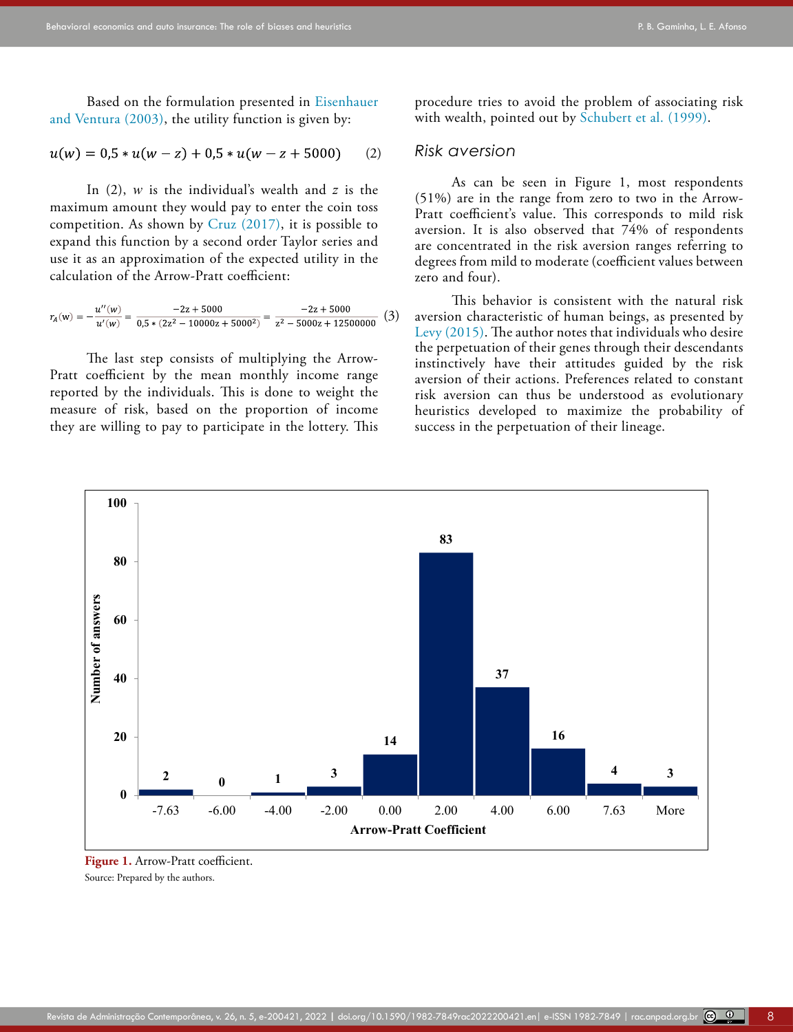Based on the formulation presented in [Eisenhauer](#page-16-11)  [and Ventura \(2003\),](#page-16-11) the utility function is given by:

$$
u(w) = 0.5 * u(w - z) + 0.5 * u(w - z + 5000)
$$
 (2)

In (2), *w* is the individual's wealth and *z* is the maximum amount they would pay to enter the coin toss competition. As shown by Cruz  $(2017)$ , it is possible to expand this function by a second order Taylor series and use it as an approximation of the expected utility in the calculation of the Arrow-Pratt coefficient:

$$
r_A(w)=-\frac{u''(w)}{u'(w)}=\frac{-2z+5000}{0.5*(2z^2-10000z+5000^2)}=\frac{-2z+5000}{z^2-5000z+12500000}\ \ (3)
$$

The last step consists of multiplying the Arrow-Pratt coefficient by the mean monthly income range reported by the individuals. This is done to weight the measure of risk, based on the proportion of income they are willing to pay to participate in the lottery. This procedure tries to avoid the problem of associating risk with wealth, pointed out by [Schubert et al. \(1999\).](#page-18-13)

#### *Risk aversion*

As can be seen in Figure 1, most respondents (51%) are in the range from zero to two in the Arrow-Pratt coefficient's value. This corresponds to mild risk aversion. It is also observed that 74% of respondents are concentrated in the risk aversion ranges referring to degrees from mild to moderate (coefficient values between zero and four).

This behavior is consistent with the natural risk aversion characteristic of human beings, as presented by [Levy \(2015\)](#page-17-17). The author notes that individuals who desire the perpetuation of their genes through their descendants instinctively have their attitudes guided by the risk aversion of their actions. Preferences related to constant risk aversion can thus be understood as evolutionary heuristics developed to maximize the probability of success in the perpetuation of their lineage.



**Figure 1.** Arrow-Pratt coefficient. Source: Prepared by the authors.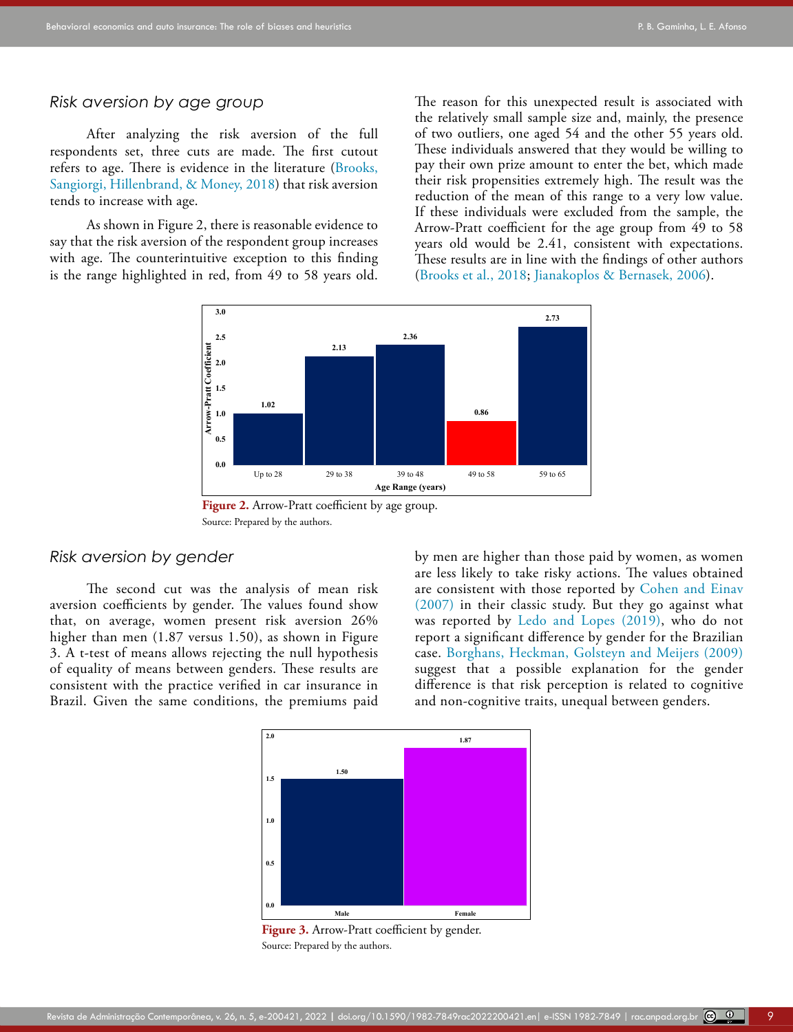#### *Risk aversion by age group*

After analyzing the risk aversion of the full respondents set, three cuts are made. The first cutout refers to age. There is evidence in the literature [\(Brooks,](#page-16-14)  [Sangiorgi, Hillenbrand, & Money, 2018](#page-16-14)) that risk aversion tends to increase with age.

As shown in Figure 2, there is reasonable evidence to say that the risk aversion of the respondent group increases with age. The counterintuitive exception to this finding is the range highlighted in red, from 49 to 58 years old.

The reason for this unexpected result is associated with the relatively small sample size and, mainly, the presence of two outliers, one aged 54 and the other 55 years old. These individuals answered that they would be willing to pay their own prize amount to enter the bet, which made their risk propensities extremely high. The result was the reduction of the mean of this range to a very low value. If these individuals were excluded from the sample, the Arrow-Pratt coefficient for the age group from  $\overline{49}$  to 58 years old would be 2.41, consistent with expectations. These results are in line with the findings of other authors ([Brooks et al., 2018;](#page-16-14) [Jianakoplos & Bernasek, 2006\)](#page-17-18).



Figure 2. Arrow-Pratt coefficient by age group. Source: Prepared by the authors.

# *Risk aversion by gender*

The second cut was the analysis of mean risk aversion coefficients by gender. The values found show that, on average, women present risk aversion 26% higher than men (1.87 versus 1.50), as shown in Figure 3. A t-test of means allows rejecting the null hypothesis of equality of means between genders. These results are consistent with the practice verified in car insurance in Brazil. Given the same conditions, the premiums paid by men are higher than those paid by women, as women are less likely to take risky actions. The values obtained are consistent with those reported by [Cohen and Einav](#page-16-6) [\(2007\)](#page-16-6) in their classic study. But they go against what was reported by [Ledo and Lopes \(2019\)](#page-17-3), who do not report a significant difference by gender for the Brazilian case. [Borghans, Heckman, Golsteyn and Meijers \(2009\)](#page-16-5) suggest that a possible explanation for the gender difference is that risk perception is related to cognitive and non-cognitive traits, unequal between genders.



**Figure 3.** Arrow-Pratt coefficient by gender. Source: Prepared by the authors.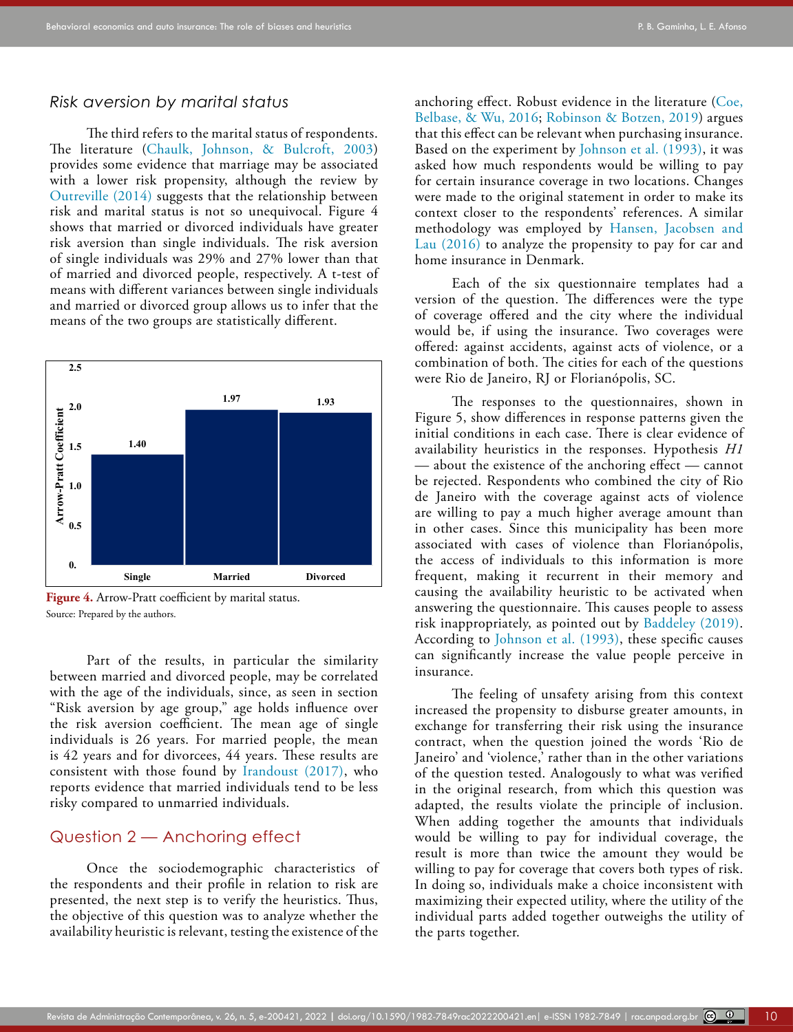#### *Risk aversion by marital status*

The third refers to the marital status of respondents. The literature ([Chaulk, Johnson, & Bulcroft, 2003](#page-16-15)) provides some evidence that marriage may be associated with a lower risk propensity, although the review by [Outreville \(2014\)](#page-17-11) suggests that the relationship between risk and marital status is not so unequivocal. Figure 4 shows that married or divorced individuals have greater risk aversion than single individuals. The risk aversion of single individuals was 29% and 27% lower than that of married and divorced people, respectively. A t-test of means with different variances between single individuals and married or divorced group allows us to infer that the means of the two groups are statistically different.



**Figure 4.** Arrow-Pratt coefficient by marital status. Source: Prepared by the authors.

Part of the results, in particular the similarity between married and divorced people, may be correlated with the age of the individuals, since, as seen in section "Risk aversion by age group," age holds influence over the risk aversion coefficient. The mean age of single individuals is 26 years. For married people, the mean is 42 years and for divorcees, 44 years. These results are consistent with those found by [Irandoust \(2017\)](#page-17-20), who reports evidence that married individuals tend to be less risky compared to unmarried individuals.

# Question 2 — Anchoring effect

Once the sociodemographic characteristics of the respondents and their profile in relation to risk are presented, the next step is to verify the heuristics. Thus, the objective of this question was to analyze whether the availability heuristic is relevant, testing the existence of the anchoring effect. Robust evidence in the literature [\(Coe,](#page-16-4) [Belbase, & Wu, 2016;](#page-16-4) [Robinson & Botzen, 2019\)](#page-17-19) argues that this effect can be relevant when purchasing insurance. Based on the experiment by [Johnson et al. \(1993\),](#page-17-8) it was asked how much respondents would be willing to pay for certain insurance coverage in two locations. Changes were made to the original statement in order to make its context closer to the respondents' references. A similar methodology was employed by [Hansen, Jacobsen and](#page-16-16) [Lau \(2016\)](#page-16-16) to analyze the propensity to pay for car and home insurance in Denmark.

Each of the six questionnaire templates had a version of the question. The differences were the type of coverage offered and the city where the individual would be, if using the insurance. Two coverages were offered: against accidents, against acts of violence, or a combination of both. The cities for each of the questions were Rio de Janeiro, RJ or Florianópolis, SC.

The responses to the questionnaires, shown in Figure 5, show differences in response patterns given the initial conditions in each case. There is clear evidence of availability heuristics in the responses. Hypothesis *H1* — about the existence of the anchoring effect — cannot be rejected. Respondents who combined the city of Rio de Janeiro with the coverage against acts of violence are willing to pay a much higher average amount than in other cases. Since this municipality has been more associated with cases of violence than Florianópolis, the access of individuals to this information is more frequent, making it recurrent in their memory and causing the availability heuristic to be activated when answering the questionnaire. This causes people to assess risk inappropriately, as pointed out by [Baddeley \(2019\)](#page-16-17). According to [Johnson et al. \(1993\)](#page-17-8), these specific causes can significantly increase the value people perceive in insurance.

The feeling of unsafety arising from this context increased the propensity to disburse greater amounts, in exchange for transferring their risk using the insurance contract, when the question joined the words 'Rio de Janeiro' and 'violence,' rather than in the other variations of the question tested. Analogously to what was verified in the original research, from which this question was adapted, the results violate the principle of inclusion. When adding together the amounts that individuals would be willing to pay for individual coverage, the result is more than twice the amount they would be willing to pay for coverage that covers both types of risk. In doing so, individuals make a choice inconsistent with maximizing their expected utility, where the utility of the individual parts added together outweighs the utility of the parts together.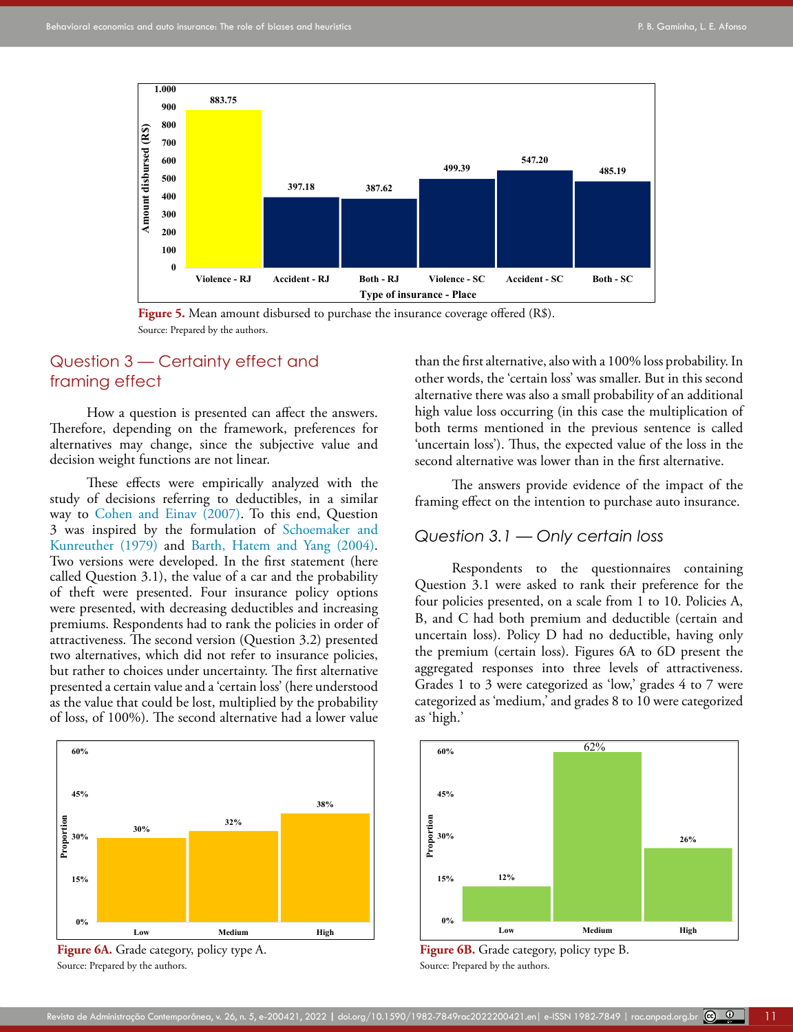



# Question 3 — Certainty effect and framing effect

How a question is presented can affect the answers. Therefore, depending on the framework, preferences for alternatives may change, since the subjective value and decision weight functions are not linear.

These effects were empirically analyzed with the study of decisions referring to deductibles, in a similar way to [Cohen and Einav \(2007\).](#page-16-6) To this end, Question 3 was inspired by the formulation of [Schoemaker and](#page-18-11)  [Kunreuther \(1979\)](#page-18-11) and [Barth, Hatem and Yang \(2004\).](#page-16-18) Two versions were developed. In the first statement (here called Question 3.1), the value of a car and the probability of theft were presented. Four insurance policy options were presented, with decreasing deductibles and increasing premiums. Respondents had to rank the policies in order of attractiveness. The second version (Question 3.2) presented two alternatives, which did not refer to insurance policies, but rather to choices under uncertainty. The first alternative presented a certain value and a 'certain loss' (here understood as the value that could be lost, multiplied by the probability of loss, of 100%). The second alternative had a lower value



**Figure 6A.** Grade category, policy type A. Source: Prepared by the authors.

than the first alternative, also with a 100% loss probability. In other words, the 'certain loss' was smaller. But in this second alternative there was also a small probability of an additional high value loss occurring (in this case the multiplication of both terms mentioned in the previous sentence is called 'uncertain loss'). Thus, the expected value of the loss in the second alternative was lower than in the first alternative.

The answers provide evidence of the impact of the framing effect on the intention to purchase auto insurance.

#### *Question 3.1 — Only certain loss*

Respondents to the questionnaires containing Question 3.1 were asked to rank their preference for the four policies presented, on a scale from 1 to 10. Policies A, B, and C had both premium and deductible (certain and uncertain loss). Policy D had no deductible, having only the premium (certain loss). Figures 6A to 6D present the aggregated responses into three levels of attractiveness. Grades 1 to 3 were categorized as 'low,' grades 4 to 7 were categorized as 'medium,' and grades 8 to 10 were categorized as 'high.'



**Figure 6B.** Grade category, policy type B. Source: Prepared by the authors.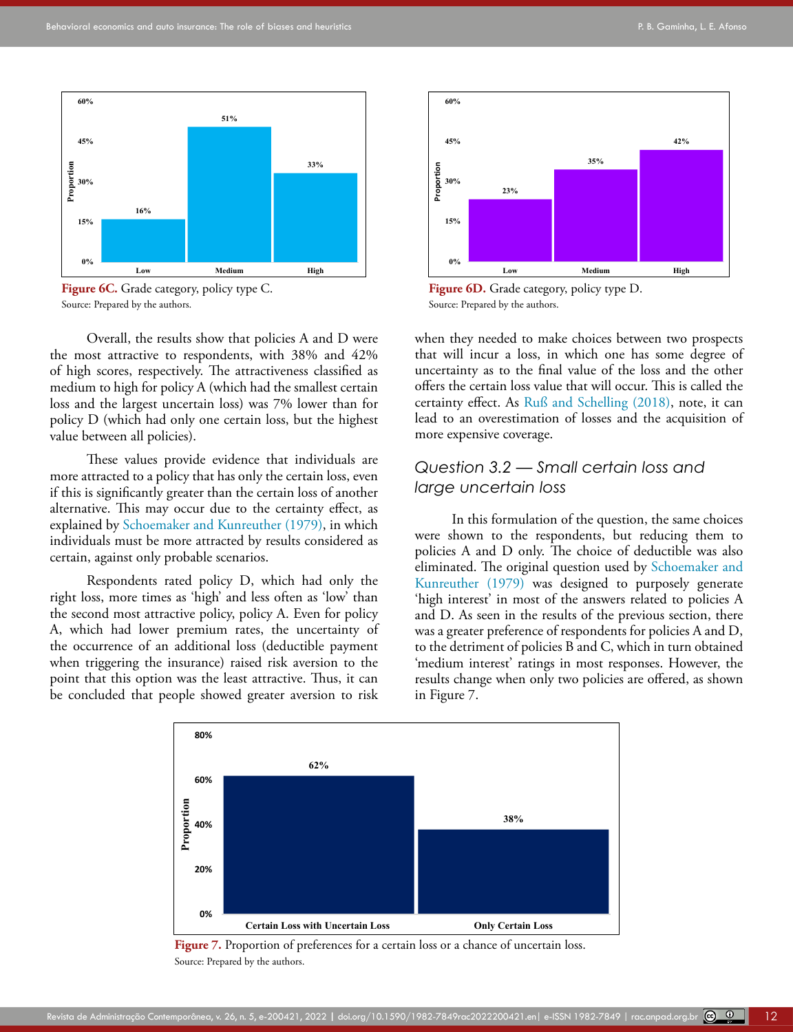

Figure 6C. Grade category, policy type C. Source: Prepared by the authors.

Overall, the results show that policies A and D were the most attractive to respondents, with 38% and 42% of high scores, respectively. The attractiveness classified as medium to high for policy A (which had the smallest certain loss and the largest uncertain loss) was 7% lower than for policy D (which had only one certain loss, but the highest value between all policies).

These values provide evidence that individuals are more attracted to a policy that has only the certain loss, even if this is significantly greater than the certain loss of another alternative. This may occur due to the certainty effect, as explained by [Schoemaker and Kunreuther \(1979\),](#page-18-11) in which individuals must be more attracted by results considered as certain, against only probable scenarios.

Respondents rated policy D, which had only the right loss, more times as 'high' and less often as 'low' than the second most attractive policy, policy A. Even for policy A, which had lower premium rates, the uncertainty of the occurrence of an additional loss (deductible payment when triggering the insurance) raised risk aversion to the point that this option was the least attractive. Thus, it can be concluded that people showed greater aversion to risk



**Figure 6D.** Grade category, policy type D. Source: Prepared by the authors.

when they needed to make choices between two prospects that will incur a loss, in which one has some degree of uncertainty as to the final value of the loss and the other offers the certain loss value that will occur. This is called the certainty effect. As Ruß and Schelling (2018), note, it can lead to an overestimation of losses and the acquisition of more expensive coverage.

# *Question 3.2 — Small certain loss and large uncertain loss*

In this formulation of the question, the same choices were shown to the respondents, but reducing them to policies A and D only. The choice of deductible was also eliminated. The original question used by [Schoemaker and](#page-18-11) [Kunreuther \(1979\)](#page-18-11) was designed to purposely generate 'high interest' in most of the answers related to policies A and D. As seen in the results of the previous section, there was a greater preference of respondents for policies A and D, to the detriment of policies B and C, which in turn obtained 'medium interest' ratings in most responses. However, the results change when only two policies are offered, as shown in Figure 7.



Figure 7. Proportion of preferences for a certain loss or a chance of uncertain loss. Source: Prepared by the authors.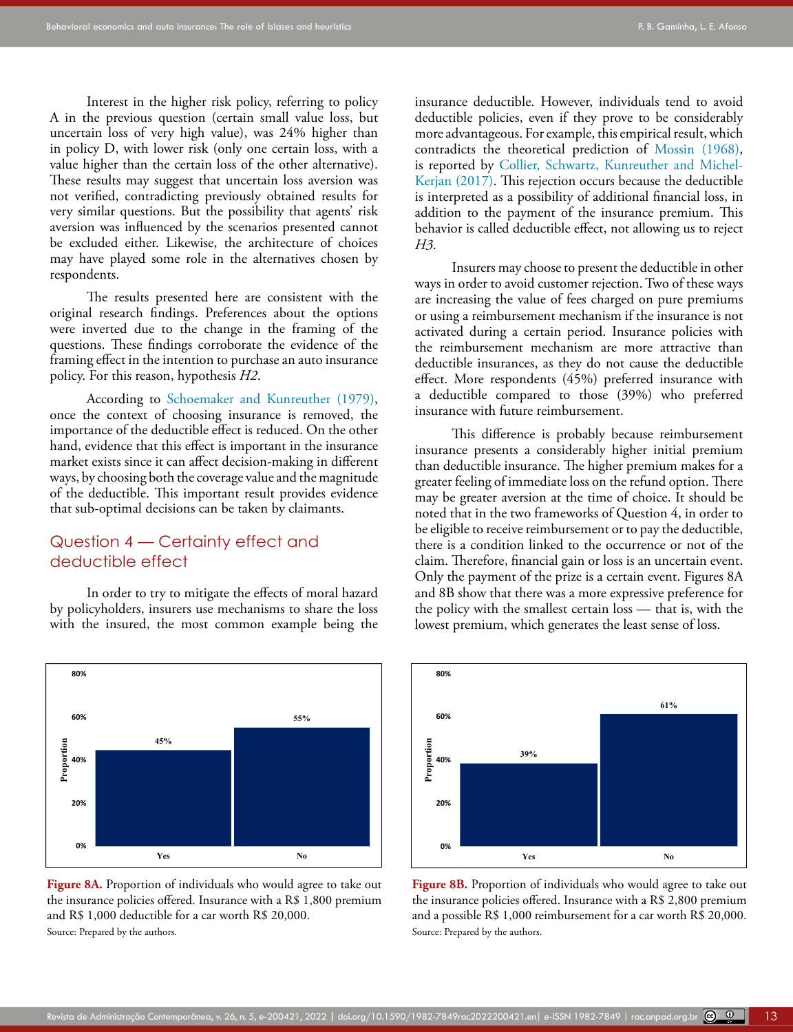Interest in the higher risk policy, referring to policy A in the previous question (certain small value loss, but uncertain loss of very high value), was 24% higher than in policy D, with lower risk (only one certain loss, with a value higher than the certain loss of the other alternative). These results may suggest that uncertain loss aversion was not verified, contradicting previously obtained results for very similar questions. But the possibility that agents' risk aversion was influenced by the scenarios presented cannot be excluded either. Likewise, the architecture of choices may have played some role in the alternatives chosen by respondents.

The results presented here are consistent with the original research findings. Preferences about the options were inverted due to the change in the framing of the questions. These findings corroborate the evidence of the framing effect in the intention to purchase an auto insurance policy. For this reason, hypothesis *H2*.

According to [Schoemaker and Kunreuther \(1979\),](#page-18-11) once the context of choosing insurance is removed, the importance of the deductible effect is reduced. On the other hand, evidence that this effect is important in the insurance market exists since it can affect decision-making in different ways, by choosing both the coverage value and the magnitude of the deductible. This important result provides evidence that sub-optimal decisions can be taken by claimants.

# Question 4 — Certainty effect and deductible effect

In order to try to mitigate the effects of moral hazard by policyholders, insurers use mechanisms to share the loss with the insured, the most common example being the



**Figure 8A.** Proportion of individuals who would agree to take out the insurance policies offered. Insurance with a R\$ 1,800 premium and R\$ 1,000 deductible for a car worth R\$ 20,000. Source: Prepared by the authors.

insurance deductible. However, individuals tend to avoid deductible policies, even if they prove to be considerably more advantageous. For example, this empirical result, which contradicts the theoretical prediction of [Mossin \(1968\)](#page-17-21), is reported by [Collier, Schwartz, Kunreuther and Michel-](#page-16-19)[Kerjan \(2017\)](#page-16-19). This rejection occurs because the deductible is interpreted as a possibility of additional financial loss, in addition to the payment of the insurance premium. This behavior is called deductible effect, not allowing us to reject *H3*.

Insurers may choose to present the deductible in other ways in order to avoid customer rejection. Two of these ways are increasing the value of fees charged on pure premiums or using a reimbursement mechanism if the insurance is not activated during a certain period. Insurance policies with the reimbursement mechanism are more attractive than deductible insurances, as they do not cause the deductible effect. More respondents (45%) preferred insurance with a deductible compared to those (39%) who preferred insurance with future reimbursement.

This difference is probably because reimbursement insurance presents a considerably higher initial premium than deductible insurance. The higher premium makes for a greater feeling of immediate loss on the refund option. There may be greater aversion at the time of choice. It should be noted that in the two frameworks of Question 4, in order to be eligible to receive reimbursement or to pay the deductible, there is a condition linked to the occurrence or not of the claim. Therefore, financial gain or loss is an uncertain event. Only the payment of the prize is a certain event. Figures 8A and 8B show that there was a more expressive preference for the policy with the smallest certain loss — that is, with the lowest premium, which generates the least sense of loss.



**Figure 8B.** Proportion of individuals who would agree to take out the insurance policies offered. Insurance with a R\$ 2,800 premium and a possible R\$ 1,000 reimbursement for a car worth R\$ 20,000. Source: Prepared by the authors.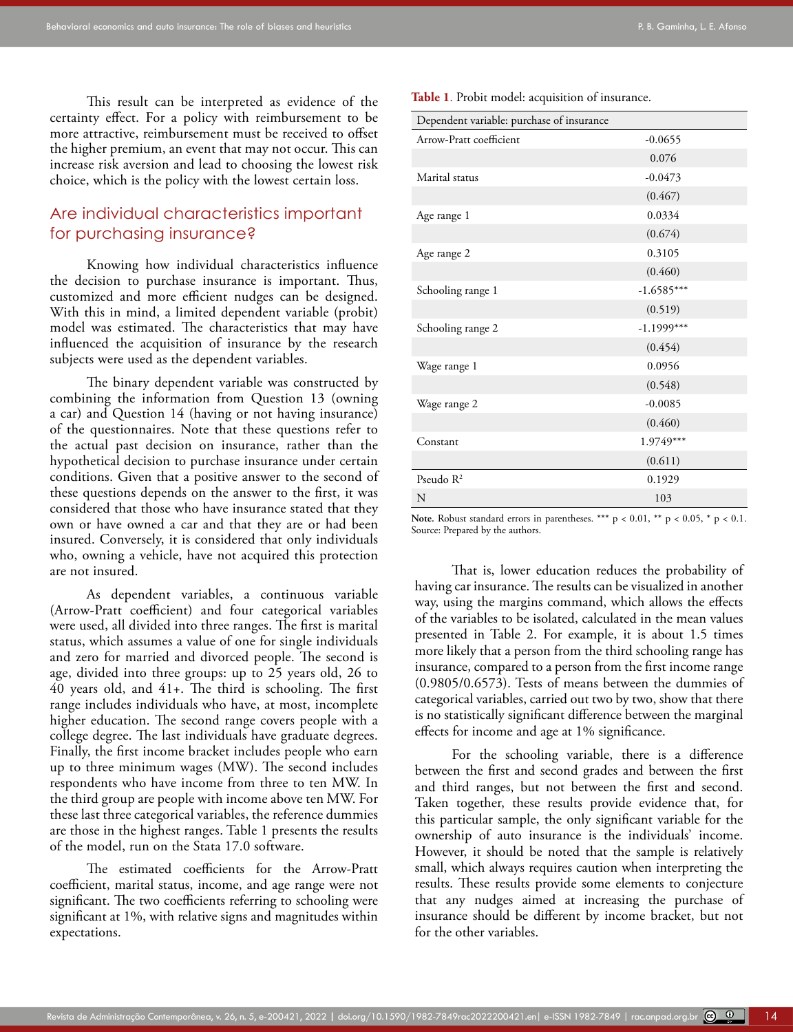This result can be interpreted as evidence of the certainty effect. For a policy with reimbursement to be more attractive, reimbursement must be received to offset the higher premium, an event that may not occur. This can increase risk aversion and lead to choosing the lowest risk choice, which is the policy with the lowest certain loss.

# Are individual characteristics important for purchasing insurance?

Knowing how individual characteristics influence the decision to purchase insurance is important. Thus, customized and more efficient nudges can be designed. With this in mind, a limited dependent variable (probit) model was estimated. The characteristics that may have influenced the acquisition of insurance by the research subjects were used as the dependent variables.

The binary dependent variable was constructed by combining the information from Question 13 (owning a car) and Question 14 (having or not having insurance) of the questionnaires. Note that these questions refer to the actual past decision on insurance, rather than the hypothetical decision to purchase insurance under certain conditions. Given that a positive answer to the second of these questions depends on the answer to the first, it was considered that those who have insurance stated that they own or have owned a car and that they are or had been insured. Conversely, it is considered that only individuals who, owning a vehicle, have not acquired this protection are not insured.

As dependent variables, a continuous variable (Arrow-Pratt coefficient) and four categorical variables were used, all divided into three ranges. The first is marital status, which assumes a value of one for single individuals and zero for married and divorced people. The second is age, divided into three groups: up to 25 years old, 26 to 40 years old, and 41+. The third is schooling. The first range includes individuals who have, at most, incomplete higher education. The second range covers people with a college degree. The last individuals have graduate degrees. Finally, the first income bracket includes people who earn up to three minimum wages (MW). The second includes respondents who have income from three to ten MW. In the third group are people with income above ten MW. For these last three categorical variables, the reference dummies are those in the highest ranges. Table 1 presents the results of the model, run on the Stata 17.0 software.

The estimated coefficients for the Arrow-Pratt coefficient, marital status, income, and age range were not significant. The two coefficients referring to schooling were significant at 1%, with relative signs and magnitudes within expectations.

**Table 1**. Probit model: acquisition of insurance.

| Dependent variable: purchase of insurance |              |  |  |  |
|-------------------------------------------|--------------|--|--|--|
| Arrow-Pratt coefficient                   | $-0.0655$    |  |  |  |
|                                           | 0.076        |  |  |  |
| Marital status                            | $-0.0473$    |  |  |  |
|                                           | (0.467)      |  |  |  |
| Age range 1                               | 0.0334       |  |  |  |
|                                           | (0.674)      |  |  |  |
| Age range 2                               | 0.3105       |  |  |  |
|                                           | (0.460)      |  |  |  |
| Schooling range 1                         | $-1.6585***$ |  |  |  |
|                                           | (0.519)      |  |  |  |
| Schooling range 2                         | $-1.1999***$ |  |  |  |
|                                           | (0.454)      |  |  |  |
| Wage range 1                              | 0.0956       |  |  |  |
|                                           | (0.548)      |  |  |  |
| Wage range 2                              | $-0.0085$    |  |  |  |
|                                           | (0.460)      |  |  |  |
| Constant                                  | 1.9749***    |  |  |  |
|                                           | (0.611)      |  |  |  |
| Pseudo $R^2$                              | 0.1929       |  |  |  |
| N                                         | 103          |  |  |  |

Note. Robust standard errors in parentheses. \*\*\*  $p < 0.01$ , \*\*  $p < 0.05$ , \*  $p < 0.1$ . Source: Prepared by the authors.

That is, lower education reduces the probability of having car insurance. The results can be visualized in another way, using the margins command, which allows the effects of the variables to be isolated, calculated in the mean values presented in Table 2. For example, it is about 1.5 times more likely that a person from the third schooling range has insurance, compared to a person from the first income range (0.9805/0.6573). Tests of means between the dummies of categorical variables, carried out two by two, show that there is no statistically significant difference between the marginal effects for income and age at 1% significance.

For the schooling variable, there is a difference between the first and second grades and between the first and third ranges, but not between the first and second. Taken together, these results provide evidence that, for this particular sample, the only significant variable for the ownership of auto insurance is the individuals' income. However, it should be noted that the sample is relatively small, which always requires caution when interpreting the results. These results provide some elements to conjecture that any nudges aimed at increasing the purchase of insurance should be different by income bracket, but not for the other variables.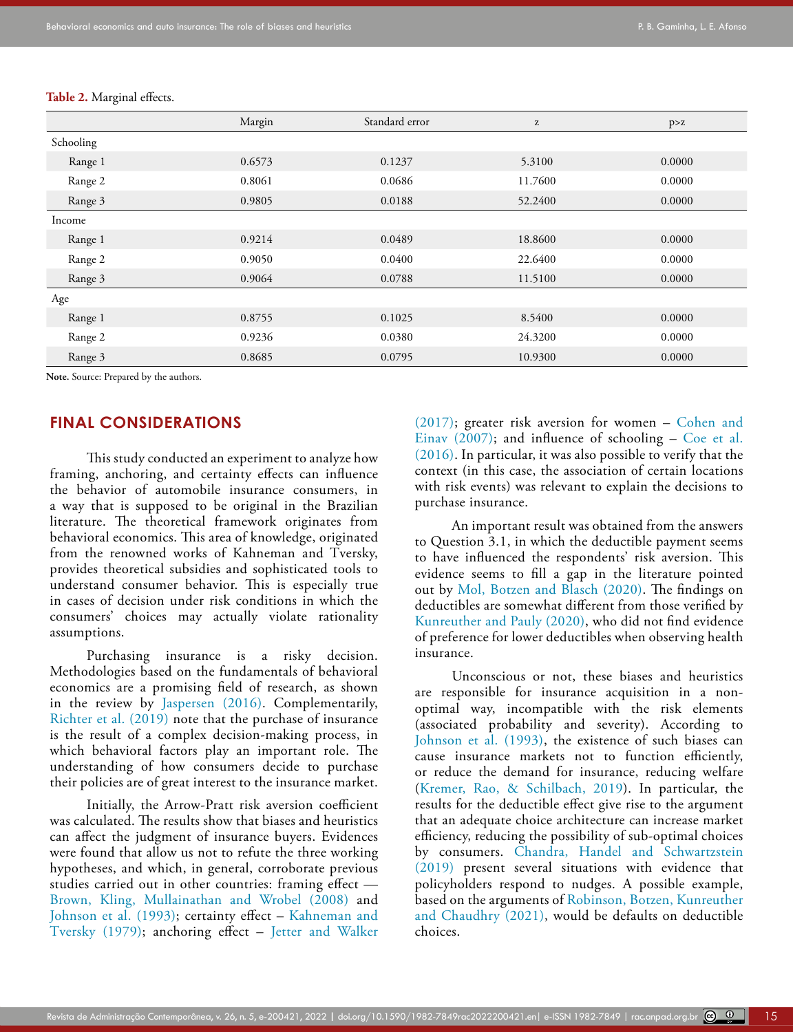|           | Margin | Standard error | $\rm{z}$ | p > z  |
|-----------|--------|----------------|----------|--------|
| Schooling |        |                |          |        |
| Range 1   | 0.6573 | 0.1237         | 5.3100   | 0.0000 |
| Range 2   | 0.8061 | 0.0686         | 11.7600  | 0.0000 |
| Range 3   | 0.9805 | 0.0188         | 52.2400  | 0.0000 |
| Income    |        |                |          |        |
| Range 1   | 0.9214 | 0.0489         | 18.8600  | 0.0000 |
| Range 2   | 0.9050 | 0.0400         | 22.6400  | 0.0000 |
| Range 3   | 0.9064 | 0.0788         | 11.5100  | 0.0000 |
| Age       |        |                |          |        |
| Range 1   | 0.8755 | 0.1025         | 8.5400   | 0.0000 |
| Range 2   | 0.9236 | 0.0380         | 24.3200  | 0.0000 |
| Range 3   | 0.8685 | 0.0795         | 10.9300  | 0.0000 |

#### **Table 2.** Marginal effects.

**Note.** Source: Prepared by the authors.

# **FINAL CONSIDERATIONS**

This study conducted an experiment to analyze how framing, anchoring, and certainty effects can influence the behavior of automobile insurance consumers, in a way that is supposed to be original in the Brazilian literature. The theoretical framework originates from behavioral economics. This area of knowledge, originated from the renowned works of Kahneman and Tversky, provides theoretical subsidies and sophisticated tools to understand consumer behavior. This is especially true in cases of decision under risk conditions in which the consumers' choices may actually violate rationality assumptions.

Purchasing insurance is a risky decision. Methodologies based on the fundamentals of behavioral economics are a promising field of research, as shown in the review by [Jaspersen \(2016\).](#page-17-7) Complementarily, [Richter et al. \(2019\)](#page-17-12) note that the purchase of insurance is the result of a complex decision-making process, in which behavioral factors play an important role. The understanding of how consumers decide to purchase their policies are of great interest to the insurance market.

Initially, the Arrow-Pratt risk aversion coefficient was calculated. The results show that biases and heuristics can affect the judgment of insurance buyers. Evidences were found that allow us not to refute the three working hypotheses, and which, in general, corroborate previous studies carried out in other countries: framing effect — [Brown, Kling, Mullainathan and Wrobel \(2008\)](#page-16-20) and [Johnson et al. \(1993\)](#page-17-8); certainty effect – Kahneman and [Tversky \(1979\)](#page-17-1); anchoring effect – [Jetter and Walker](#page-17-6)  [\(2017\)](#page-17-6); greater risk aversion for women – [Cohen and](#page-16-6) Einav  $(2007)$ ; and influence of schooling – [Coe et al.](#page-16-4) [\(2016\)](#page-16-4). In particular, it was also possible to verify that the context (in this case, the association of certain locations with risk events) was relevant to explain the decisions to purchase insurance.

An important result was obtained from the answers to Question 3.1, in which the deductible payment seems to have influenced the respondents' risk aversion. This evidence seems to fill a gap in the literature pointed out by [Mol, Botzen and Blasch \(2020\).](#page-17-22) The findings on deductibles are somewhat different from those verified by [Kunreuther and Pauly \(2020\),](#page-17-23) who did not find evidence of preference for lower deductibles when observing health insurance.

Unconscious or not, these biases and heuristics are responsible for insurance acquisition in a nonoptimal way, incompatible with the risk elements (associated probability and severity). According to [Johnson et al. \(1993\),](#page-17-8) the existence of such biases can cause insurance markets not to function efficiently, or reduce the demand for insurance, reducing welfare ([Kremer, Rao, & Schilbach, 2019\)](#page-17-24). In particular, the results for the deductible effect give rise to the argument that an adequate choice architecture can increase market efficiency, reducing the possibility of sub-optimal choices by consumers. [Chandra, Handel and Schwartzstein](#page-16-21) [\(2019\)](#page-16-21) present several situations with evidence that policyholders respond to nudges. A possible example, based on the arguments of [Robinson, Botzen, Kunreuther](#page-17-25) [and Chaudhry \(2021\),](#page-17-25) would be defaults on deductible choices.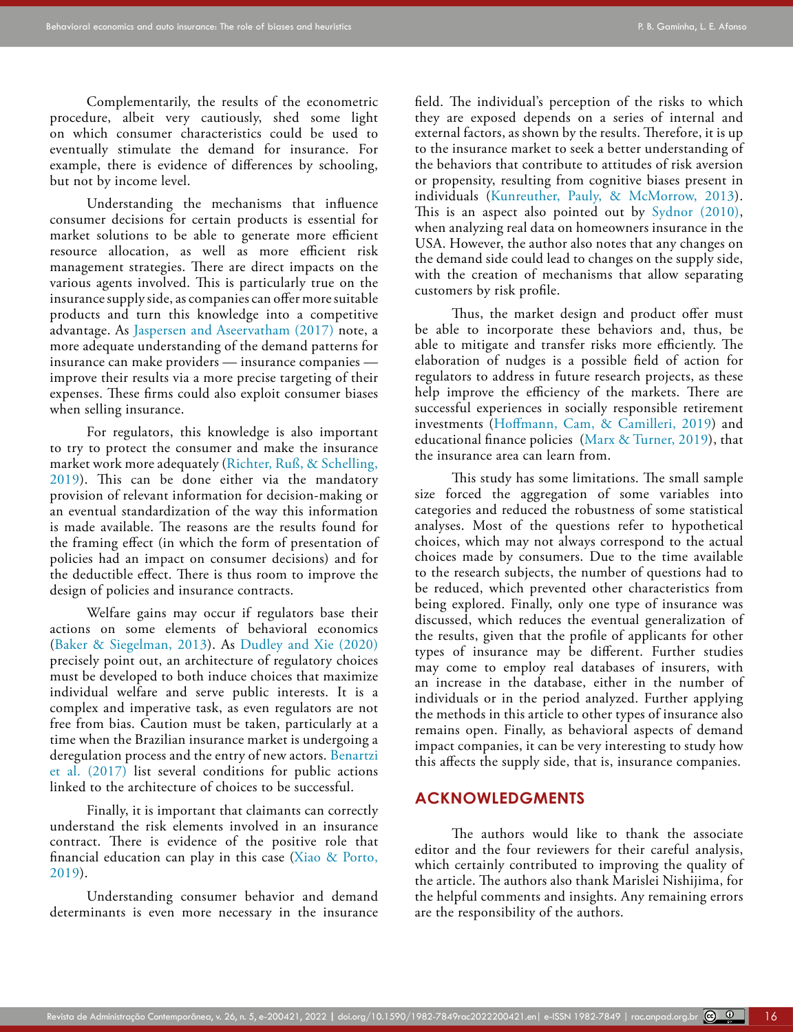Complementarily, the results of the econometric procedure, albeit very cautiously, shed some light on which consumer characteristics could be used to eventually stimulate the demand for insurance. For example, there is evidence of differences by schooling, but not by income level.

Understanding the mechanisms that influence consumer decisions for certain products is essential for market solutions to be able to generate more efficient resource allocation, as well as more efficient risk management strategies. There are direct impacts on the various agents involved. This is particularly true on the insurance supply side, as companies can offer more suitable products and turn this knowledge into a competitive advantage. As [Jaspersen and Aseervatham \(2017\)](#page-17-15) note, a more adequate understanding of the demand patterns for insurance can make providers — insurance companies improve their results via a more precise targeting of their expenses. These firms could also exploit consumer biases when selling insurance.

For regulators, this knowledge is also important to try to protect the consumer and make the insurance market work more adequately (Richter, Ruß, & Schelling, 2019). This can be done either via the mandatory provision of relevant information for decision-making or an eventual standardization of the way this information is made available. The reasons are the results found for the framing effect (in which the form of presentation of policies had an impact on consumer decisions) and for the deductible effect. There is thus room to improve the design of policies and insurance contracts.

Welfare gains may occur if regulators base their actions on some elements of behavioral economics ([Baker & Siegelman, 2013](#page-16-22)). As [Dudley and Xie \(2020\)](#page-16-23)  precisely point out, an architecture of regulatory choices must be developed to both induce choices that maximize individual welfare and serve public interests. It is a complex and imperative task, as even regulators are not free from bias. Caution must be taken, particularly at a time when the Brazilian insurance market is undergoing a deregulation process and the entry of new actors. Benartzi [et al. \(2017\)](#page-16-24) list several conditions for public actions linked to the architecture of choices to be successful.

Finally, it is important that claimants can correctly understand the risk elements involved in an insurance contract. There is evidence of the positive role that financial education can play in this case (Xiao & Porto, 2019).

Understanding consumer behavior and demand determinants is even more necessary in the insurance field. The individual's perception of the risks to which they are exposed depends on a series of internal and external factors, as shown by the results. Therefore, it is up to the insurance market to seek a better understanding of the behaviors that contribute to attitudes of risk aversion or propensity, resulting from cognitive biases present in individuals [\(Kunreuther, Pauly, & McMorrow, 2013\)](#page-17-5). This is an aspect also pointed out by [Sydnor \(2010\)](#page-18-6), when analyzing real data on homeowners insurance in the USA. However, the author also notes that any changes on the demand side could lead to changes on the supply side, with the creation of mechanisms that allow separating customers by risk profile.

Thus, the market design and product offer must be able to incorporate these behaviors and, thus, be able to mitigate and transfer risks more efficiently. The elaboration of nudges is a possible field of action for regulators to address in future research projects, as these help improve the efficiency of the markets. There are successful experiences in socially responsible retirement investments ([Hoffmann, Cam, & Camilleri, 2019\)](#page-16-25) and educational finance policies ([Marx & Turner, 2019](#page-17-26)), that the insurance area can learn from.

This study has some limitations. The small sample size forced the aggregation of some variables into categories and reduced the robustness of some statistical analyses. Most of the questions refer to hypothetical choices, which may not always correspond to the actual choices made by consumers. Due to the time available to the research subjects, the number of questions had to be reduced, which prevented other characteristics from being explored. Finally, only one type of insurance was discussed, which reduces the eventual generalization of the results, given that the profile of applicants for other types of insurance may be different. Further studies may come to employ real databases of insurers, with an increase in the database, either in the number of individuals or in the period analyzed. Further applying the methods in this article to other types of insurance also remains open. Finally, as behavioral aspects of demand impact companies, it can be very interesting to study how this affects the supply side, that is, insurance companies.

### **ACKNOWLEDGMENTS**

The authors would like to thank the associate editor and the four reviewers for their careful analysis, which certainly contributed to improving the quality of the article. The authors also thank Marislei Nishijima, for the helpful comments and insights. Any remaining errors are the responsibility of the authors.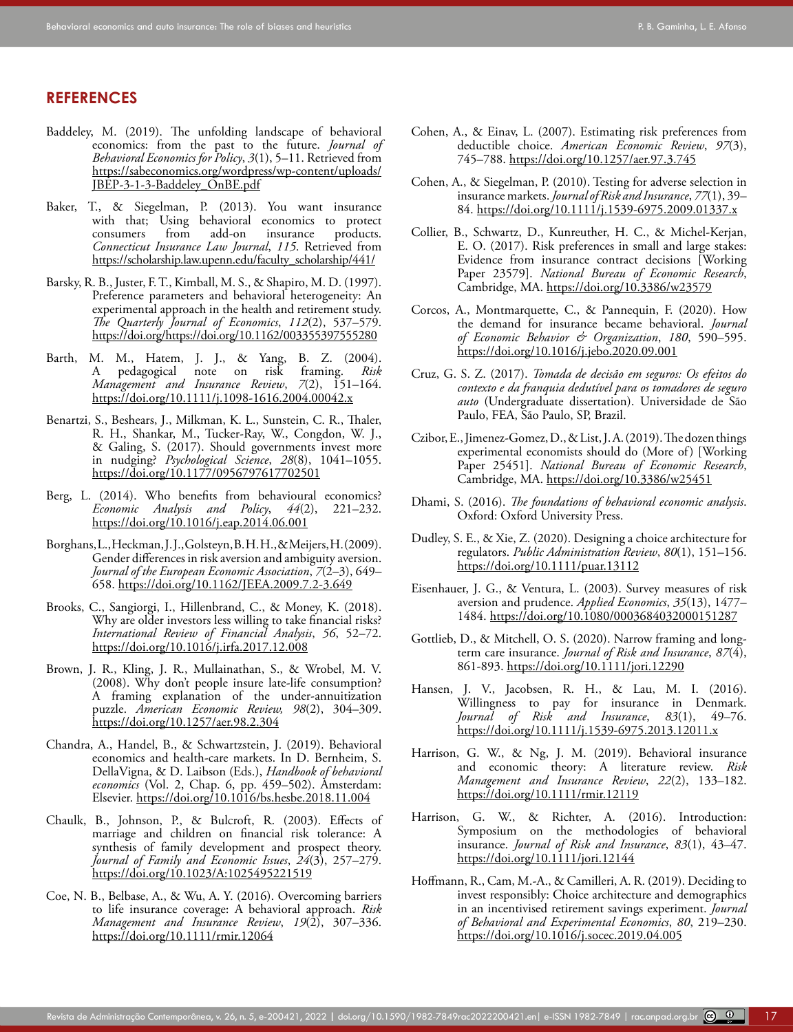# **REFERENCES**

- <span id="page-16-17"></span>Baddeley, M. (2019). The unfolding landscape of behavioral economics: from the past to the future. *Journal of Behavioral Economics for Policy*, *3*(1), 5–11. Retrieved from [https://sabeconomics.org/wordpress/wp-content/uploads/](https://sabeconomics.org/wordpress/wp-content/uploads/JBEP-3-1-3-Baddeley_OnBE.pdf) [JBEP-3-1-3-Baddeley\\_OnBE.pdf](https://sabeconomics.org/wordpress/wp-content/uploads/JBEP-3-1-3-Baddeley_OnBE.pdf)
- <span id="page-16-22"></span>Baker, T., & Siegelman, P. (2013). You want insurance with that; Using behavioral economics to protect consumers from add-on insurance products. insurance *Connecticut Insurance Law Journal*, *115*. Retrieved from [https://scholarship.law.upenn.edu/faculty\\_scholarship/441/](https://scholarship.law.upenn.edu/faculty_scholarship/441/)
- <span id="page-16-12"></span>Barsky, R. B., Juster, F. T., Kimball, M. S., & Shapiro, M. D. (1997). Preference parameters and behavioral heterogeneity: An experimental approach in the health and retirement study. *The Quarterly Journal of Economics*, *112*(2), 537–579. <https://doi.org/https://doi.org/10.1162/003355397555280>
- <span id="page-16-18"></span>Barth, M. M., Hatem, J. J., & Yang, B. Z. (2004). A pedagogical note on risk framing. *Risk Management and Insurance Review*, *7*(2), 151–164. [https://doi.org/10.1111/j.1098-1616.2004.00042.x](https://doi.org/10.1111/j.1098-1616.2004.00042.x )
- <span id="page-16-24"></span>Benartzi, S., Beshears, J., Milkman, K. L., Sunstein, C. R., Thaler, R. H., Shankar, M., Tucker-Ray, W., Congdon, W. J., & Galing, S. (2017). Should governments invest more in nudging? *Psychological Science*, *28*(8), 1041–1055. [https://doi.org/10.1177/0956797617702501](https://doi.org/10.1177/0956797617702501 )
- <span id="page-16-8"></span>Berg, L. (2014). Who benefits from behavioural economics? *Economic Analysis and Policy*, *44*(2), 221–232. [https://doi.org/10.1016/j.eap.2014.06.001](https://doi.org/10.1016/j.eap.2014.06.001 )
- <span id="page-16-5"></span>Borghans, L., Heckman, J. J., Golsteyn, B. H. H., & Meijers, H. (2009). Gender differences in risk aversion and ambiguity aversion. *Journal of the European Economic Association*, *7*(2–3), 649– 658. [https://doi.org/10.1162/JEEA.2009.7.2-3.649](https://doi.org/10.1162/JEEA.2009.7.2-3.649 )
- <span id="page-16-14"></span>Brooks, C., Sangiorgi, I., Hillenbrand, C., & Money, K. (2018). Why are older investors less willing to take financial risks? *International Review of Financial Analysis*, *56*, 52–72. <https://doi.org/10.1016/j.irfa.2017.12.008>
- <span id="page-16-20"></span>Brown, J. R., Kling, J. R., Mullainathan, S., & Wrobel, M. V. (2008). Why don't people insure late-life consumption? A framing explanation of the under-annuitization puzzle. *American Economic Review, 98*(2), 304–309. [https://doi.org/10.1257/aer.98.2.304](https://doi.org/10.1257/aer.98.2.304 )
- <span id="page-16-21"></span>Chandra, A., Handel, B., & Schwartzstein, J. (2019). Behavioral economics and health-care markets. In D. Bernheim, S. DellaVigna, & D. Laibson (Eds.), *Handbook of behavioral economics* (Vol. 2, Chap. 6, pp. 459–502). Amsterdam: Elsevier. <https://doi.org/10.1016/bs.hesbe.2018.11.004>
- <span id="page-16-15"></span>Chaulk, B., Johnson, P., & Bulcroft, R. (2003). Effects of marriage and children on financial risk tolerance: A synthesis of family development and prospect theory. *Journal of Family and Economic Issues*, *24*(3), 257–279. [https://doi.org/10.1023/A:1025495221519](https://doi.org/10.1023/A:1025495221519 )
- <span id="page-16-4"></span>Coe, N. B., Belbase, A., & Wu, A. Y. (2016). Overcoming barriers to life insurance coverage: A behavioral approach. *Risk Management and Insurance Review*, *19*(2), 307–336. <https://doi.org/10.1111/rmir.12064>
- <span id="page-16-6"></span>Cohen, A., & Einav, L. (2007). Estimating risk preferences from deductible choice. *American Economic Review*, *97*(3), 745–788.<https://doi.org/10.1257/aer.97.3.745>
- <span id="page-16-7"></span>Cohen, A., & Siegelman, P. (2010). Testing for adverse selection in insurance markets. *Journal of Risk and Insurance*, *77*(1), 39– 84.<https://doi.org/10.1111/j.1539-6975.2009.01337.x>
- <span id="page-16-19"></span>Collier, B., Schwartz, D., Kunreuther, H. C., & Michel-Kerjan, E. O. (2017). Risk preferences in small and large stakes: Evidence from insurance contract decisions [Working Paper 23579]. *National Bureau of Economic Research*, Cambridge, MA.<https://doi.org/10.3386/w23579>
- <span id="page-16-2"></span>Corcos, A., Montmarquette, C., & Pannequin, F. (2020). How the demand for insurance became behavioral. *Journal of Economic Behavior & Organization*, *180*, 590–595. <https://doi.org/10.1016/j.jebo.2020.09.001>
- <span id="page-16-13"></span>Cruz, G. S. Z. (2017). *Tomada de decisão em seguros: Os efeitos do contexto e da franquia dedutível para os tomadores de seguro auto* (Undergraduate dissertation). Universidade de São Paulo, FEA, São Paulo, SP, Brazil.
- <span id="page-16-9"></span>Czibor, E., Jimenez-Gomez, D., & List, J. A. (2019). The dozen things experimental economists should do (More of) [Working Paper 25451]. *National Bureau of Economic Research*, Cambridge, MA. [https://doi.org/10.3386/w25451](https://doi.org/10.3386/w25451 )
- <span id="page-16-1"></span>Dhami, S. (2016). *The foundations of behavioral economic analysis*. Oxford: Oxford University Press.
- <span id="page-16-23"></span>Dudley, S. E., & Xie, Z. (2020). Designing a choice architecture for regulators. *Public Administration Review*, *80*(1), 151–156. <https://doi.org/10.1111/puar.13112>
- <span id="page-16-11"></span>Eisenhauer, J. G., & Ventura, L. (2003). Survey measures of risk aversion and prudence. *Applied Economics*, *35*(13), 1477– 1484.<https://doi.org/10.1080/0003684032000151287>
- <span id="page-16-3"></span>Gottlieb, D., & Mitchell, O. S. (2020). Narrow framing and long‐ term care insurance. *Journal of Risk and Insurance*, *87*(4), 861-893. <https://doi.org/10.1111/jori.12290>
- <span id="page-16-16"></span>Hansen, J. V., Jacobsen, R. H., & Lau, M. I. (2016). Willingness to pay for insurance in Denmark. *Journal of Risk and Insurance*, *83*(1), 49–76. [https://doi.org/10.1111/j.1539-6975.2013.12011.x](https://doi.org/10.1111/j.1539-6975.2013.12011.x )
- <span id="page-16-10"></span>Harrison, G. W., & Ng, J. M. (2019). Behavioral insurance and economic theory: A literature review. *Risk Management and Insurance Review*, *22*(2), 133–182. [https://doi.org/10.1111/rmir.12119](https://doi.org/10.1111/rmir.12119 )
- <span id="page-16-0"></span>Harrison, G. W., & Richter, A. (2016). Introduction: Symposium on the methodologies of behavioral insurance. *Journal of Risk and Insurance*, *83*(1), 43–47. [https://doi.org/10.1111/jori.12144](https://doi.org/10.1111/jori.12144 )
- <span id="page-16-25"></span>Hoffmann, R., Cam, M.-A., & Camilleri, A. R. (2019). Deciding to invest responsibly: Choice architecture and demographics in an incentivised retirement savings experiment. *Journal of Behavioral and Experimental Economics*, *80*, 219–230. <https://doi.org/10.1016/j.socec.2019.04.005>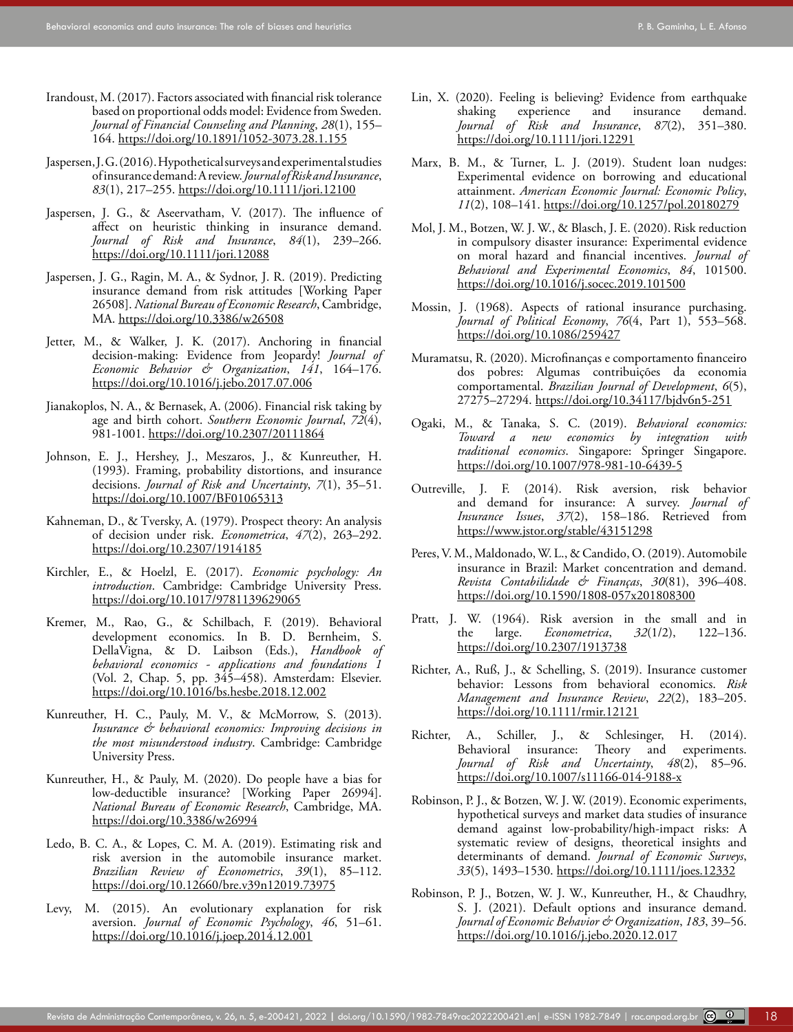- <span id="page-17-20"></span>Irandoust, M. (2017). Factors associated with financial risk tolerance based on proportional odds model: Evidence from Sweden. *Journal of Financial Counseling and Planning*, *28*(1), 155– 164. <https://doi.org/10.1891/1052-3073.28.1.155>
- <span id="page-17-7"></span>Jaspersen, J. G. (2016). Hypothetical surveys and experimental studies of insurance demand: A review. *Journal of Risk and Insurance*, *83*(1), 217–255. [https://doi.org/10.1111/jori.12100](https://doi.org/10.1111/jori.12100 )
- <span id="page-17-15"></span>Jaspersen, J. G., & Aseervatham, V. (2017). The influence of affect on heuristic thinking in insurance demand. *Journal of Risk and Insurance*, *84*(1), 239–266. [https://doi.org/10.1111/jori.12088](https://doi.org/10.1111/jori.12088 )
- <span id="page-17-14"></span>Jaspersen, J. G., Ragin, M. A., & Sydnor, J. R. (2019). Predicting insurance demand from risk attitudes [Working Paper 26508]. *National Bureau of Economic Research*, Cambridge, MA.<https://doi.org/10.3386/w26508>
- <span id="page-17-6"></span>Jetter, M., & Walker, J. K. (2017). Anchoring in financial decision-making: Evidence from Jeopardy! *Journal of Economic Behavior & Organization*, *141*, 164–176. [https://doi.org/10.1016/j.jebo.2017.07.006](https://doi.org/10.1016/j.jebo.2017.07.006 )
- <span id="page-17-18"></span>Jianakoplos, N. A., & Bernasek, A. (2006). Financial risk taking by age and birth cohort. *Southern Economic Journal*, *72*(4), 981-1001.<https://doi.org/10.2307/20111864>
- <span id="page-17-8"></span>Johnson, E. J., Hershey, J., Meszaros, J., & Kunreuther, H. (1993). Framing, probability distortions, and insurance decisions. *Journal of Risk and Uncertainty*, *7*(1), 35–51. [https://doi.org/10.1007/BF01065313](https://doi.org/10.1007/BF01065313 )
- <span id="page-17-1"></span>Kahneman, D., & Tversky, A. (1979). Prospect theory: An analysis of decision under risk. *Econometrica*, *47*(2), 263–292. <https://doi.org/10.2307/1914185>
- <span id="page-17-4"></span>Kirchler, E., & Hoelzl, E. (2017). *Economic psychology: An introduction*. Cambridge: Cambridge University Press. <https://doi.org/10.1017/9781139629065>
- <span id="page-17-24"></span>Kremer, M., Rao, G., & Schilbach, F. (2019). Behavioral development economics. In B. D. Bernheim, S. DellaVigna, & D. Laibson (Eds.), *Handbook of behavioral economics - applications and foundations 1* (Vol. 2, Chap. 5, pp. 345–458). Amsterdam: Elsevier. [https://doi.org/10.1016/bs.hesbe.2018.12.002](https://doi.org/10.1016/bs.hesbe.2018.12.002 )
- <span id="page-17-5"></span>Kunreuther, H. C., Pauly, M. V., & McMorrow, S. (2013). *Insurance & behavioral economics: Improving decisions in the most misunderstood industry*. Cambridge: Cambridge University Press.
- <span id="page-17-23"></span>Kunreuther, H., & Pauly, M. (2020). Do people have a bias for low-deductible insurance? [Working Paper 26994]. *National Bureau of Economic Research*, Cambridge, MA. [https://doi.org/10.3386/w26994](https://doi.org/10.3386/w26994 )
- <span id="page-17-3"></span>Ledo, B. C. A., & Lopes, C. M. A. (2019). Estimating risk and risk aversion in the automobile insurance market. *Brazilian Review of Econometrics*, *39*(1), 85–112. [https://doi.org/10.12660/bre.v39n12019.73975](https://doi.org/10.12660/bre.v39n12019.73975 )
- <span id="page-17-17"></span>Levy, M. (2015). An evolutionary explanation for risk aversion. *Journal of Economic Psychology*, *46*, 51–61. [https://doi.org/10.1016/j.joep.2014.12.001](https://doi.org/10.1016/j.joep.2014.12.001 )
- <span id="page-17-9"></span>Lin, X. (2020). Feeling is believing? Evidence from earthquake shaking experience and insurance demand. *Journal of Risk and Insurance*, *87*(2), 351–380. [https://doi.org/10.1111/jori.12291](https://doi.org/10.1111/jori.12291 )
- <span id="page-17-26"></span>Marx, B. M., & Turner, L. J. (2019). Student loan nudges: Experimental evidence on borrowing and educational attainment. *American Economic Journal: Economic Policy*, *11*(2), 108–141. <https://doi.org/10.1257/pol.20180279>
- <span id="page-17-22"></span>Mol, J. M., Botzen, W. J. W., & Blasch, J. E. (2020). Risk reduction in compulsory disaster insurance: Experimental evidence on moral hazard and financial incentives. *Journal of Behavioral and Experimental Economics*, *84*, 101500. <https://doi.org/10.1016/j.socec.2019.101500>
- <span id="page-17-21"></span>Mossin, J. (1968). Aspects of rational insurance purchasing. *Journal of Political Economy*, *76*(4, Part 1), 553–568. [https://doi.org/10.1086/259427](https://doi.org/10.1086/259427 )
- <span id="page-17-0"></span>Muramatsu, R. (2020). Microfinanças e comportamento financeiro dos pobres: Algumas contribuições da economia comportamental. *Brazilian Journal of Development*, *6*(5), 27275–27294.<https://doi.org/10.34117/bjdv6n5-251>
- <span id="page-17-13"></span>Ogaki, M., & Tanaka, S. C. (2019). *Behavioral economics: Toward a new economics by integration with traditional economics*. Singapore: Springer Singapore. [https://doi.org/10.1007/978-981-10-6439-5](https://doi.org/10.1007/978-981-10-6439-5 )
- <span id="page-17-11"></span>Outreville, J. F. (2014). Risk aversion, risk behavior and demand for insurance: A survey. *Journal of Insurance Issues*, *37*(2), 158–186. Retrieved from [https://www.jstor.org/stable/43151298](https://www.jstor.org/stable/43151298 )
- <span id="page-17-10"></span>Peres, V. M., Maldonado, W. L., & Candido, O. (2019). Automobile insurance in Brazil: Market concentration and demand. *Revista Contabilidade & Finanças*, *30*(81), 396–408. <https://doi.org/10.1590/1808-057x201808300>
- <span id="page-17-16"></span>Pratt, J. W. (1964). Risk aversion in the small and in the large. *Econometrica*, *32*(1/2), 122–136. [https://doi.org/10.2307/1913738](https://doi.org/10.2307/1913738 )
- <span id="page-17-12"></span>Richter, A., Ruß, J., & Schelling, S. (2019). Insurance customer behavior: Lessons from behavioral economics. *Risk Management and Insurance Review*, *22*(2), 183–205. <https://doi.org/10.1111/rmir.12121>
- <span id="page-17-2"></span>Richter, A., Schiller, J., & Schlesinger, H. (2014).<br>Behavioral insurance: Theory and experiments. Behavioral insurance: Theory and experiments. *Journal of Risk and Uncertainty*, *48*(2), 85–96. [https://doi.org/10.1007/s11166-014-9188-x](https://doi.org/10.1007/s11166-014-9188-x )
- <span id="page-17-19"></span>Robinson, P. J., & Botzen, W. J. W. (2019). Economic experiments, hypothetical surveys and market data studies of insurance demand against low‐probability/high‐impact risks: A systematic review of designs, theoretical insights and determinants of demand. *Journal of Economic Surveys*, *33*(5), 1493–1530. <https://doi.org/10.1111/joes.12332>
- <span id="page-17-25"></span>Robinson, P. J., Botzen, W. J. W., Kunreuther, H., & Chaudhry, S. J. (2021). Default options and insurance demand. *Journal of Economic Behavior & Organization*, *183*, 39–56. [https://doi.org/10.1016/j.jebo.2020.12.017](https://doi.org/10.1016/j.jebo.2020.12.017 )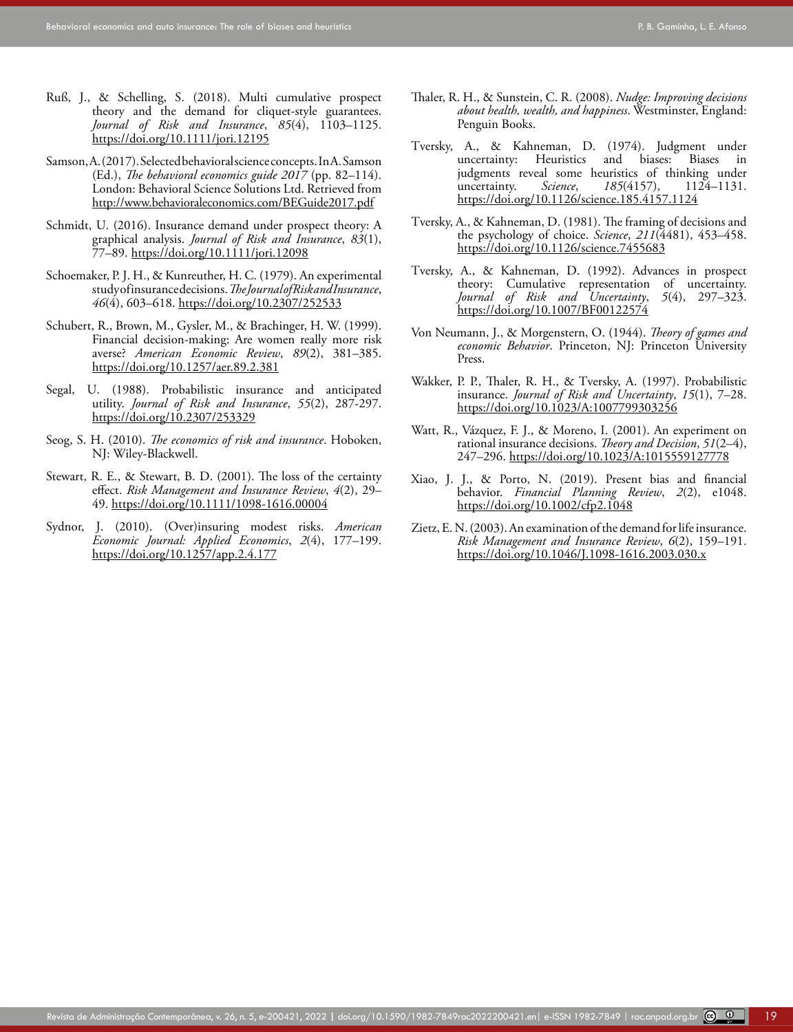- Ruß, J., & Schelling, S. (2018). Multi cumulative prospect theory and the demand for cliquet-style guarantees. *Journal of Risk and Insurance*, *85*(4), 1103–1125. [https://doi.org/10.1111/jori.12195](https://doi.org/10.1111/jori.12195 )
- <span id="page-18-7"></span>Samson, A. (2017). Selected behavioral science concepts. In A. Samson (Ed.), *The behavioral economics guide 2017* (pp. 82–114). London: Behavioral Science Solutions Ltd. Retrieved from [http://www.behavioraleconomics.com/BEGuide2017.pdf](http://www.behavioraleconomics.com/BEGuide2017.pdf )
- <span id="page-18-10"></span>Schmidt, U. (2016). Insurance demand under prospect theory: A graphical analysis. *Journal of Risk and Insurance*, *83*(1), 77–89. <https://doi.org/10.1111/jori.12098>
- <span id="page-18-11"></span>Schoemaker, P. J. H., & Kunreuther, H. C. (1979). An experimental study of insurance decisions. *The Journal of Risk and Insurance*, *46*(4), 603–618. [https://doi.org/10.2307/252533](https://doi.org/10.2307/252533 )
- <span id="page-18-13"></span>Schubert, R., Brown, M., Gysler, M., & Brachinger, H. W. (1999). Financial decision-making: Are women really more risk averse? *American Economic Review*, *89*(2), 381–385. <https://doi.org/10.1257/aer.89.2.381>
- <span id="page-18-12"></span>Segal, U. (1988). Probabilistic insurance and anticipated utility. *Journal of Risk and Insurance*, *55*(2), 287-297. [https://doi.org/10.2307/253329](https://doi.org/10.2307/253329 )
- <span id="page-18-2"></span>Seog, S. H. (2010). *The economics of risk and insurance*. Hoboken, NJ: Wiley-Blackwell.
- <span id="page-18-9"></span>Stewart, R. E., & Stewart, B. D. (2001). The loss of the certainty effect. *Risk Management and Insurance Review*, *4*(2), 29– 49. <https://doi.org/10.1111/1098-1616.00004>
- <span id="page-18-6"></span>Sydnor, J. (2010). (Over)insuring modest risks. *American Economic Journal: Applied Economics*, *2*(4), 177–199. [https://doi.org/10.1257/app.2.4.177](https://doi.org/10.1257/app.2.4.177 )
- <span id="page-18-0"></span>Thaler, R. H., & Sunstein, C. R. (2008). *Nudge: Improving decisions about health, wealth, and happiness*. Westminster, England: Penguin Books.
- <span id="page-18-4"></span>Tversky, A., & Kahneman, D. (1974). Judgment under uncertainty: Heuristics and biases: Biases in judgments reveal some heuristics of thinking under<br>uncertainty. Science, 185(4157), 1124-1131. *185*(4157), [https://doi.org/10.1126/science.185.4157.1124](https://doi.org/10.1126/science.185.4157.1124 )
- <span id="page-18-5"></span>Tversky, A., & Kahneman, D. (1981). The framing of decisions and the psychology of choice. *Science*, *211*(4481), 453–458. <https://doi.org/10.1126/science.7455683>
- <span id="page-18-1"></span>Tversky, A., & Kahneman, D. (1992). Advances in prospect theory: Cumulative representation of uncertainty. *Journal of Risk and Uncertainty*, *5*(4), 297–323. [https://doi.org/10.1007/BF00122574](https://doi.org/10.1007/BF00122574 )
- <span id="page-18-8"></span>Von Neumann, J., & Morgenstern, O. (1944). *Theory of games and economic Behavior*. Princeton, NJ: Princeton University Press.
- <span id="page-18-3"></span>Wakker, P. P., Thaler, R. H., & Tversky, A. (1997). Probabilistic insurance. *Journal of Risk and Uncertainty*, *15*(1), 7–28. <https://doi.org/10.1023/A:1007799303256>
- Watt, R., Vázquez, F. J., & Moreno, I. (2001). An experiment on rational insurance decisions. *Theory and Decision*, *51*(2–4), 247–296.<https://doi.org/10.1023/A:1015559127778>
- Xiao, J. J., & Porto, N. (2019). Present bias and financial behavior. *Financial Planning Review*, *2*(2), e1048. [https://doi.org/10.1002/cfp2.1048](https://doi.org/10.1002/cfp2.1048 )
- Zietz, E. N. (2003). An examination of the demand for life insurance. *Risk Management and Insurance Review*, *6*(2), 159–191. <https://doi.org/10.1046/J.1098-1616.2003.030.x>